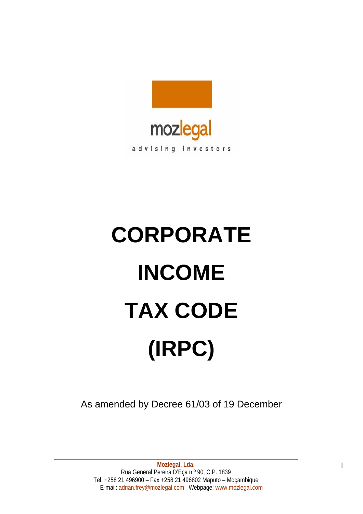

# **CORPORATE INCOME TAX CODE (IRPC)**

As amended by Decree 61/03 of 19 December

**Mozlegal, Lda.** Rua General Pereira D'Eça n º 90, C.P. 1839 Tel. +258 21 496900 – Fax +258 21 496802 Maputo – Moçambique E-mail: adrian.frey@mozlegal.com Webpage: www.mozlegal.com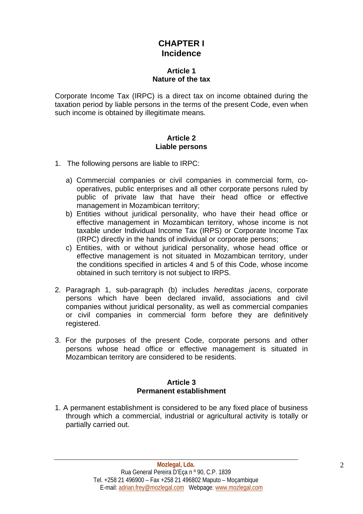# **CHAPTER I Incidence**

## **Article 1 Nature of the tax**

Corporate Income Tax (IRPC) is a direct tax on income obtained during the taxation period by liable persons in the terms of the present Code, even when such income is obtained by illegitimate means.

## **Article 2 Liable persons**

- 1. The following persons are liable to IRPC:
	- a) Commercial companies or civil companies in commercial form, cooperatives, public enterprises and all other corporate persons ruled by public of private law that have their head office or effective management in Mozambican territory;
	- b) Entities without juridical personality, who have their head office or effective management in Mozambican territory, whose income is not taxable under Individual Income Tax (IRPS) or Corporate Income Tax (IRPC) directly in the hands of individual or corporate persons;
	- c) Entities, with or without juridical personality, whose head office or effective management is not situated in Mozambican territory, under the conditions specified in articles 4 and 5 of this Code, whose income obtained in such territory is not subject to IRPS.
- 2. Paragraph 1, sub-paragraph (b) includes *hereditas jacens*, corporate persons which have been declared invalid, associations and civil companies without juridical personality, as well as commercial companies or civil companies in commercial form before they are definitively registered.
- 3. For the purposes of the present Code, corporate persons and other persons whose head office or effective management is situated in Mozambican territory are considered to be residents.

#### **Article 3 Permanent establishment**

1. A permanent establishment is considered to be any fixed place of business through which a commercial, industrial or agricultural activity is totally or partially carried out.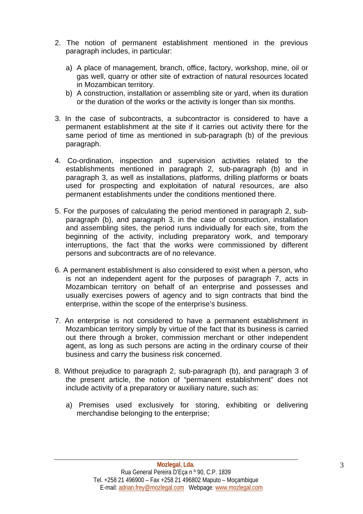- 2. The notion of permanent establishment mentioned in the previous paragraph includes, in particular:
	- a) A place of management, branch, office, factory, workshop, mine, oil or gas well, quarry or other site of extraction of natural resources located in Mozambican territory.
	- b) A construction, installation or assembling site or yard, when its duration or the duration of the works or the activity is longer than six months.
- 3. In the case of subcontracts, a subcontractor is considered to have a permanent establishment at the site if it carries out activity there for the same period of time as mentioned in sub-paragraph (b) of the previous paragraph.
- 4. Co-ordination, inspection and supervision activities related to the establishments mentioned in paragraph 2, sub-paragraph (b) and in paragraph 3, as well as installations, platforms, drilling platforms or boats used for prospecting and exploitation of natural resources, are also permanent establishments under the conditions mentioned there.
- 5. For the purposes of calculating the period mentioned in paragraph 2, subparagraph (b), and paragraph 3, in the case of construction, installation and assembling sites, the period runs individually for each site, from the beginning of the activity, including preparatory work, and temporary interruptions, the fact that the works were commissioned by different persons and subcontracts are of no relevance.
- 6. A permanent establishment is also considered to exist when a person, who is not an independent agent for the purposes of paragraph 7, acts in Mozambican territory on behalf of an enterprise and possesses and usually exercises powers of agency and to sign contracts that bind the enterprise, within the scope of the enterprise's business.
- 7. An enterprise is not considered to have a permanent establishment in Mozambican territory simply by virtue of the fact that its business is carried out there through a broker, commission merchant or other independent agent, as long as such persons are acting in the ordinary course of their business and carry the business risk concerned.
- 8. Without prejudice to paragraph 2, sub-paragraph (b), and paragraph 3 of the present article, the notion of "permanent establishment" does not include activity of a preparatory or auxiliary nature, such as:
	- a) Premises used exclusively for storing, exhibiting or delivering merchandise belonging to the enterprise;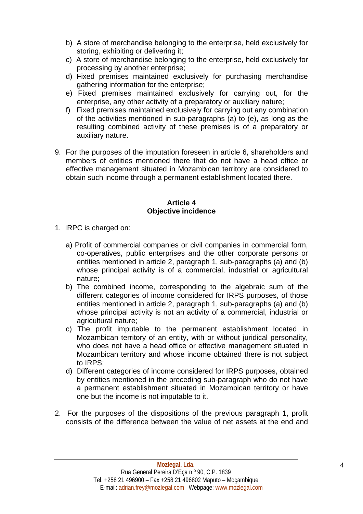- b) A store of merchandise belonging to the enterprise, held exclusively for storing, exhibiting or delivering it;
- c) A store of merchandise belonging to the enterprise, held exclusively for processing by another enterprise;
- d) Fixed premises maintained exclusively for purchasing merchandise gathering information for the enterprise;
- e) Fixed premises maintained exclusively for carrying out, for the enterprise, any other activity of a preparatory or auxiliary nature;
- f) Fixed premises maintained exclusively for carrying out any combination of the activities mentioned in sub-paragraphs (a) to (e), as long as the resulting combined activity of these premises is of a preparatory or auxiliary nature.
- 9. For the purposes of the imputation foreseen in article 6, shareholders and members of entities mentioned there that do not have a head office or effective management situated in Mozambican territory are considered to obtain such income through a permanent establishment located there.

#### **Article 4 Objective incidence**

- 1. IRPC is charged on:
	- a) Profit of commercial companies or civil companies in commercial form, co-operatives, public enterprises and the other corporate persons or entities mentioned in article 2, paragraph 1, sub-paragraphs (a) and (b) whose principal activity is of a commercial, industrial or agricultural nature;
	- b) The combined income, corresponding to the algebraic sum of the different categories of income considered for IRPS purposes, of those entities mentioned in article 2, paragraph 1, sub-paragraphs (a) and (b) whose principal activity is not an activity of a commercial, industrial or agricultural nature;
	- c) The profit imputable to the permanent establishment located in Mozambican territory of an entity, with or without juridical personality, who does not have a head office or effective management situated in Mozambican territory and whose income obtained there is not subject to IRPS;
	- d) Different categories of income considered for IRPS purposes, obtained by entities mentioned in the preceding sub-paragraph who do not have a permanent establishment situated in Mozambican territory or have one but the income is not imputable to it.
- 2. For the purposes of the dispositions of the previous paragraph 1, profit consists of the difference between the value of net assets at the end and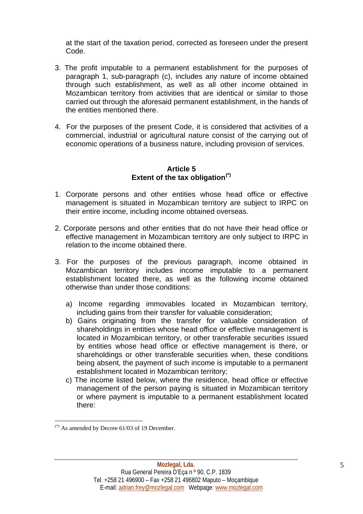at the start of the taxation period, corrected as foreseen under the present Code.

- 3. The profit imputable to a permanent establishment for the purposes of paragraph 1, sub-paragraph (c), includes any nature of income obtained through such establishment, as well as all other income obtained in Mozambican territory from activities that are identical or similar to those carried out through the aforesaid permanent establishment, in the hands of the entities mentioned there.
- 4. For the purposes of the present Code, it is considered that activities of a commercial, industrial or agricultural nature consist of the carrying out of economic operations of a business nature, including provision of services.

#### **Article 5 Extent of the tax obligation[\(\\*\)](#page-4-0)**

- 1. Corporate persons and other entities whose head office or effective management is situated in Mozambican territory are subject to IRPC on their entire income, including income obtained overseas.
- 2. Corporate persons and other entities that do not have their head office or effective management in Mozambican territory are only subject to IRPC in relation to the income obtained there.
- 3. For the purposes of the previous paragraph, income obtained in Mozambican territory includes income imputable to a permanent establishment located there, as well as the following income obtained otherwise than under those conditions:
	- a) Income regarding immovables located in Mozambican territory, including gains from their transfer for valuable consideration:
	- b) Gains originating from the transfer for valuable consideration of shareholdings in entities whose head office or effective management is located in Mozambican territory, or other transferable securities issued by entities whose head office or effective management is there, or shareholdings or other transferable securities when, these conditions being absent, the payment of such income is imputable to a permanent establishment located in Mozambican territory;
	- c) The income listed below, where the residence, head office or effective management of the person paying is situated in Mozambican territory or where payment is imputable to a permanent establishment located there:

<span id="page-4-0"></span> $(*)$  As amended by Decree 61/03 of 19 December.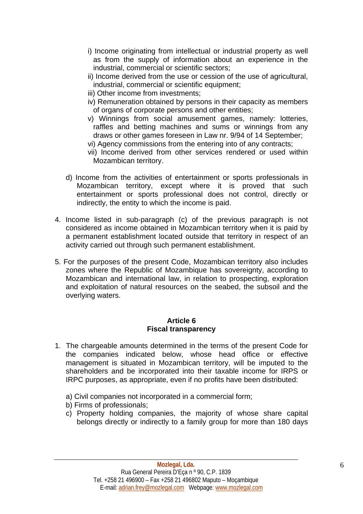- i) Income originating from intellectual or industrial property as well as from the supply of information about an experience in the industrial, commercial or scientific sectors;
- ii) Income derived from the use or cession of the use of agricultural, industrial, commercial or scientific equipment;
- iii) Other income from investments;
- iv) Remuneration obtained by persons in their capacity as members of organs of corporate persons and other entities;
- v) Winnings from social amusement games, namely: lotteries, raffles and betting machines and sums or winnings from any draws or other games foreseen in Law nr. 9/94 of 14 September;
- vi) Agency commissions from the entering into of any contracts;
- vii) Income derived from other services rendered or used within Mozambican territory.
- d) Income from the activities of entertainment or sports professionals in Mozambican territory, except where it is proved that such entertainment or sports professional does not control, directly or indirectly, the entity to which the income is paid.
- 4. Income listed in sub-paragraph (c) of the previous paragraph is not considered as income obtained in Mozambican territory when it is paid by a permanent establishment located outside that territory in respect of an activity carried out through such permanent establishment.
- 5. For the purposes of the present Code, Mozambican territory also includes zones where the Republic of Mozambique has sovereignty, according to Mozambican and international law, in relation to prospecting, exploration and exploitation of natural resources on the seabed, the subsoil and the overlying waters.

# **Article 6 Fiscal transparency**

- 1. The chargeable amounts determined in the terms of the present Code for the companies indicated below, whose head office or effective management is situated in Mozambican territory, will be imputed to the shareholders and be incorporated into their taxable income for IRPS or IRPC purposes, as appropriate, even if no profits have been distributed:
	- a) Civil companies not incorporated in a commercial form;
	- b) Firms of professionals;
	- c) Property holding companies, the majority of whose share capital belongs directly or indirectly to a family group for more than 180 days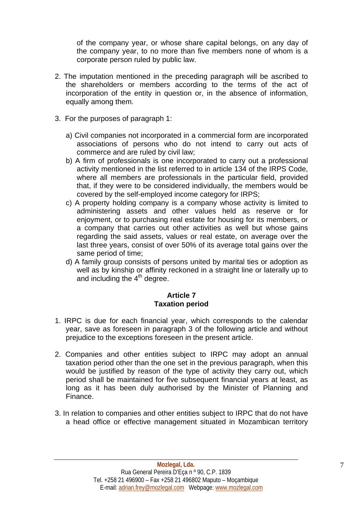of the company year, or whose share capital belongs, on any day of the company year, to no more than five members none of whom is a corporate person ruled by public law.

- 2. The imputation mentioned in the preceding paragraph will be ascribed to the shareholders or members according to the terms of the act of incorporation of the entity in question or, in the absence of information, equally among them.
- 3. For the purposes of paragraph 1:
	- a) Civil companies not incorporated in a commercial form are incorporated associations of persons who do not intend to carry out acts of commerce and are ruled by civil law;
	- b) A firm of professionals is one incorporated to carry out a professional activity mentioned in the list referred to in article 134 of the IRPS Code, where all members are professionals in the particular field, provided that, if they were to be considered individually, the members would be covered by the self-employed income category for IRPS;
	- c) A property holding company is a company whose activity is limited to administering assets and other values held as reserve or for enjoyment, or to purchasing real estate for housing for its members, or a company that carries out other activities as well but whose gains regarding the said assets, values or real estate, on average over the last three years, consist of over 50% of its average total gains over the same period of time;
	- d) A family group consists of persons united by marital ties or adoption as well as by kinship or affinity reckoned in a straight line or laterally up to and including the  $4<sup>th</sup>$  degree.

# **Article 7 Taxation period**

- 1. IRPC is due for each financial year, which corresponds to the calendar year, save as foreseen in paragraph 3 of the following article and without prejudice to the exceptions foreseen in the present article.
- 2. Companies and other entities subject to IRPC may adopt an annual taxation period other than the one set in the previous paragraph, when this would be justified by reason of the type of activity they carry out, which period shall be maintained for five subsequent financial years at least, as long as it has been duly authorised by the Minister of Planning and Finance.
- 3. In relation to companies and other entities subject to IRPC that do not have a head office or effective management situated in Mozambican territory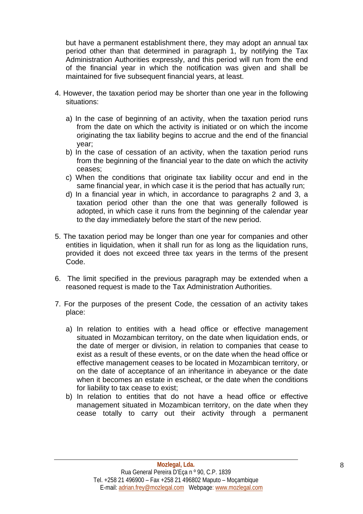but have a permanent establishment there, they may adopt an annual tax period other than that determined in paragraph 1, by notifying the Tax Administration Authorities expressly, and this period will run from the end of the financial year in which the notification was given and shall be maintained for five subsequent financial years, at least.

- 4. However, the taxation period may be shorter than one year in the following situations:
	- a) In the case of beginning of an activity, when the taxation period runs from the date on which the activity is initiated or on which the income originating the tax liability begins to accrue and the end of the financial year;
	- b) In the case of cessation of an activity, when the taxation period runs from the beginning of the financial year to the date on which the activity ceases;
	- c) When the conditions that originate tax liability occur and end in the same financial year, in which case it is the period that has actually run;
	- d) In a financial year in which, in accordance to paragraphs 2 and 3, a taxation period other than the one that was generally followed is adopted, in which case it runs from the beginning of the calendar year to the day immediately before the start of the new period.
- 5. The taxation period may be longer than one year for companies and other entities in liquidation, when it shall run for as long as the liquidation runs, provided it does not exceed three tax years in the terms of the present Code.
- 6. The limit specified in the previous paragraph may be extended when a reasoned request is made to the Tax Administration Authorities.
- 7. For the purposes of the present Code, the cessation of an activity takes place:
	- a) In relation to entities with a head office or effective management situated in Mozambican territory, on the date when liquidation ends, or the date of merger or division, in relation to companies that cease to exist as a result of these events, or on the date when the head office or effective management ceases to be located in Mozambican territory, or on the date of acceptance of an inheritance in abeyance or the date when it becomes an estate in escheat, or the date when the conditions for liability to tax cease to exist;
	- b) In relation to entities that do not have a head office or effective management situated in Mozambican territory, on the date when they cease totally to carry out their activity through a permanent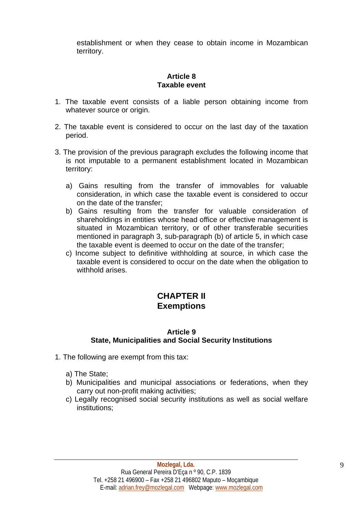establishment or when they cease to obtain income in Mozambican territory.

# **Article 8 Taxable event**

- 1. The taxable event consists of a liable person obtaining income from whatever source or origin.
- 2. The taxable event is considered to occur on the last day of the taxation period.
- 3. The provision of the previous paragraph excludes the following income that is not imputable to a permanent establishment located in Mozambican territory:
	- a) Gains resulting from the transfer of immovables for valuable consideration, in which case the taxable event is considered to occur on the date of the transfer;
	- b) Gains resulting from the transfer for valuable consideration of shareholdings in entities whose head office or effective management is situated in Mozambican territory, or of other transferable securities mentioned in paragraph 3, sub-paragraph (b) of article 5, in which case the taxable event is deemed to occur on the date of the transfer;
	- c) Income subject to definitive withholding at source, in which case the taxable event is considered to occur on the date when the obligation to withhold arises.

# **CHAPTER II Exemptions**

#### **Article 9 State, Municipalities and Social Security Institutions**

- 1. The following are exempt from this tax:
	- a) The State;
	- b) Municipalities and municipal associations or federations, when they carry out non-profit making activities;
	- c) Legally recognised social security institutions as well as social welfare institutions;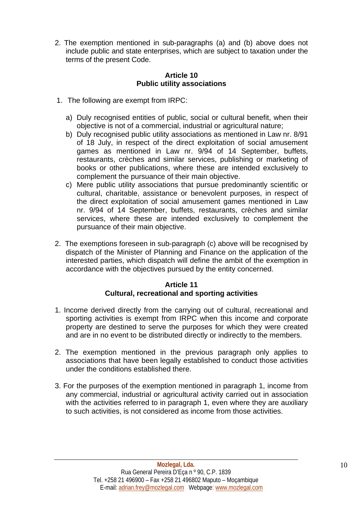2. The exemption mentioned in sub-paragraphs (a) and (b) above does not include public and state enterprises, which are subject to taxation under the terms of the present Code.

#### **Article 10 Public utility associations**

- 1. The following are exempt from IRPC:
	- a) Duly recognised entities of public, social or cultural benefit, when their objective is not of a commercial, industrial or agricultural nature;
	- b) Duly recognised public utility associations as mentioned in Law nr. 8/91 of 18 July, in respect of the direct exploitation of social amusement games as mentioned in Law nr. 9/94 of 14 September, buffets, restaurants, crèches and similar services, publishing or marketing of books or other publications, where these are intended exclusively to complement the pursuance of their main objective.
	- c) Mere public utility associations that pursue predominantly scientific or cultural, charitable, assistance or benevolent purposes, in respect of the direct exploitation of social amusement games mentioned in Law nr. 9/94 of 14 September, buffets, restaurants, crèches and similar services, where these are intended exclusively to complement the pursuance of their main objective.
- 2. The exemptions foreseen in sub-paragraph (c) above will be recognised by dispatch of the Minister of Planning and Finance on the application of the interested parties, which dispatch will define the ambit of the exemption in accordance with the objectives pursued by the entity concerned.

# **Article 11 Cultural, recreational and sporting activities**

- 1. Income derived directly from the carrying out of cultural, recreational and sporting activities is exempt from IRPC when this income and corporate property are destined to serve the purposes for which they were created and are in no event to be distributed directly or indirectly to the members.
- 2. The exemption mentioned in the previous paragraph only applies to associations that have been legally established to conduct those activities under the conditions established there.
- 3. For the purposes of the exemption mentioned in paragraph 1, income from any commercial, industrial or agricultural activity carried out in association with the activities referred to in paragraph 1, even where they are auxiliary to such activities, is not considered as income from those activities.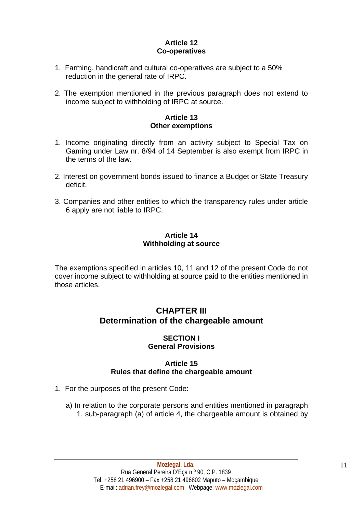# **Article 12 Co-operatives**

- 1. Farming, handicraft and cultural co-operatives are subject to a 50% reduction in the general rate of IRPC.
- 2. The exemption mentioned in the previous paragraph does not extend to income subject to withholding of IRPC at source.

# **Article 13 Other exemptions**

- 1. Income originating directly from an activity subject to Special Tax on Gaming under Law nr. 8/94 of 14 September is also exempt from IRPC in the terms of the law.
- 2. Interest on government bonds issued to finance a Budget or State Treasury deficit.
- 3. Companies and other entities to which the transparency rules under article 6 apply are not liable to IRPC.

## **Article 14 Withholding at source**

The exemptions specified in articles 10, 11 and 12 of the present Code do not cover income subject to withholding at source paid to the entities mentioned in those articles.

# **CHAPTER III Determination of the chargeable amount**

#### **SECTION I General Provisions**

# **Article 15 Rules that define the chargeable amount**

- 1. For the purposes of the present Code:
	- a) In relation to the corporate persons and entities mentioned in paragraph 1, sub-paragraph (a) of article 4, the chargeable amount is obtained by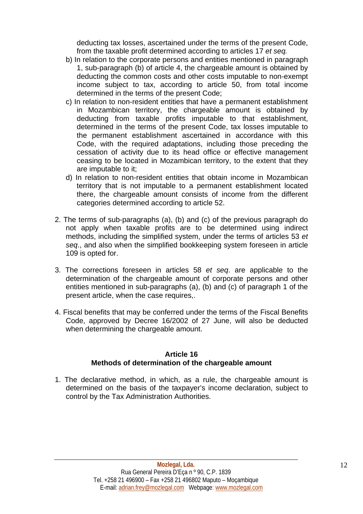deducting tax losses, ascertained under the terms of the present Code, from the taxable profit determined according to articles 17 *et seq.*

- b) In relation to the corporate persons and entities mentioned in paragraph 1, sub-paragraph (b) of article 4, the chargeable amount is obtained by deducting the common costs and other costs imputable to non-exempt income subject to tax, according to article 50, from total income determined in the terms of the present Code;
- c) In relation to non-resident entities that have a permanent establishment in Mozambican territory, the chargeable amount is obtained by deducting from taxable profits imputable to that establishment, determined in the terms of the present Code, tax losses imputable to the permanent establishment ascertained in accordance with this Code, with the required adaptations, including those preceding the cessation of activity due to its head office or effective management ceasing to be located in Mozambican territory, to the extent that they are imputable to it;
- d) In relation to non-resident entities that obtain income in Mozambican territory that is not imputable to a permanent establishment located there, the chargeable amount consists of income from the different categories determined according to article 52.
- 2. The terms of sub-paragraphs (a), (b) and (c) of the previous paragraph do not apply when taxable profits are to be determined using indirect methods, including the simplified system, under the terms of articles 53 *et seq*., and also when the simplified bookkeeping system foreseen in article 109 is opted for.
- 3. The corrections foreseen in articles 58 *et seq*. are applicable to the determination of the chargeable amount of corporate persons and other entities mentioned in sub-paragraphs (a), (b) and (c) of paragraph 1 of the present article, when the case requires,.
- 4. Fiscal benefits that may be conferred under the terms of the Fiscal Benefits Code, approved by Decree 16/2002 of 27 June, will also be deducted when determining the chargeable amount.

#### **Article 16 Methods of determination of the chargeable amount**

1. The declarative method, in which, as a rule, the chargeable amount is determined on the basis of the taxpayer's income declaration, subject to control by the Tax Administration Authorities.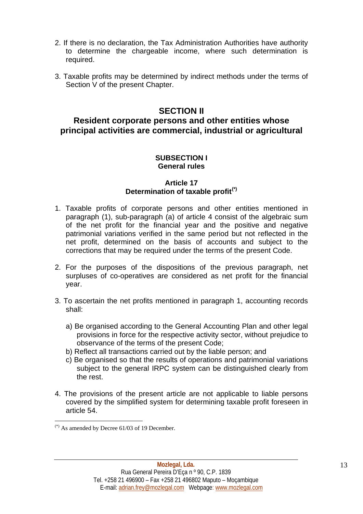- 2. If there is no declaration, the Tax Administration Authorities have authority to determine the chargeable income, where such determination is required.
- 3. Taxable profits may be determined by indirect methods under the terms of Section V of the present Chapter.

# **SECTION II**

# **Resident corporate persons and other entities whose principal activities are commercial, industrial or agricultural**

#### **SUBSECTION I General rules**

## **Article 17 Determination of taxable profit[\(\\*\)](#page-12-0)**

- 1. Taxable profits of corporate persons and other entities mentioned in paragraph (1), sub-paragraph (a) of article 4 consist of the algebraic sum of the net profit for the financial year and the positive and negative patrimonial variations verified in the same period but not reflected in the net profit, determined on the basis of accounts and subject to the corrections that may be required under the terms of the present Code.
- 2. For the purposes of the dispositions of the previous paragraph, net surpluses of co-operatives are considered as net profit for the financial year.
- 3. To ascertain the net profits mentioned in paragraph 1, accounting records shall:
	- a) Be organised according to the General Accounting Plan and other legal provisions in force for the respective activity sector, without prejudice to observance of the terms of the present Code;
	- b) Reflect all transactions carried out by the liable person; and
	- c) Be organised so that the results of operations and patrimonial variations subject to the general IRPC system can be distinguished clearly from the rest.
- 4. The provisions of the present article are not applicable to liable persons covered by the simplified system for determining taxable profit foreseen in article 54.

<span id="page-12-0"></span> $(*)$  As amended by Decree 61/03 of 19 December.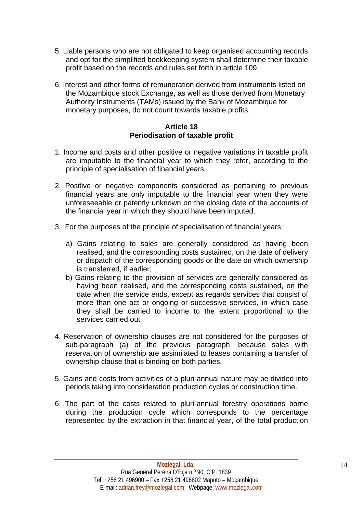- 5. Liable persons who are not obligated to keep organised accounting records and opt for the simplified bookkeeping system shall determine their taxable profit based on the records and rules set forth in article 109.
- 6. Interest and other forms of remuneration derived from instruments listed on the Mozambique stock Exchange, as well as those derived from Monetary Authority Instruments (TAMs) issued by the Bank of Mozambique for monetary purposes, do not count towards taxable profits.

#### **Article 18 Periodisation of taxable profit**

- 1. Income and costs and other positive or negative variations in taxable profit are imputable to the financial year to which they refer, according to the principle of specialisation of financial years.
- 2. Positive or negative components considered as pertaining to previous financial years are only imputable to the financial year when they were unforeseeable or patently unknown on the closing date of the accounts of the financial year in which they should have been imputed.
- 3. For the purposes of the principle of specialisation of financial years:
	- a) Gains relating to sales are generally considered as having been realised, and the corresponding costs sustained, on the date of delivery or dispatch of the corresponding goods or the date on which ownership is transferred, if earlier;
	- b) Gains relating to the provision of services are generally considered as having been realised, and the corresponding costs sustained, on the date when the service ends, except as regards services that consist of more than one act or ongoing or successive services, in which case they shall be carried to income to the extent proportional to the services carried out
- 4. Reservation of ownership clauses are not considered for the purposes of sub-paragraph (a) of the previous paragraph, because sales with reservation of ownership are assimilated to leases containing a transfer of ownership clause that is binding on both parties.
- 5. Gains and costs from activities of a pluri-annual nature may be divided into periods taking into consideration production cycles or construction time.
- 6. The part of the costs related to pluri-annual forestry operations borne during the production cycle which corresponds to the percentage represented by the extraction in that financial year, of the total production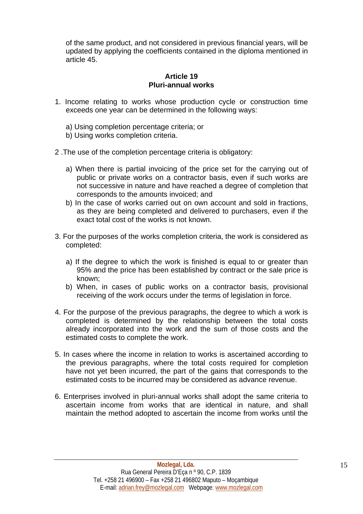of the same product, and not considered in previous financial years, will be updated by applying the coefficients contained in the diploma mentioned in article 45.

#### **Article 19 Pluri-annual works**

- 1. Income relating to works whose production cycle or construction time exceeds one year can be determined in the following ways:
	- a) Using completion percentage criteria; or
	- b) Using works completion criteria.
- 2 .The use of the completion percentage criteria is obligatory:
	- a) When there is partial invoicing of the price set for the carrying out of public or private works on a contractor basis, even if such works are not successive in nature and have reached a degree of completion that corresponds to the amounts invoiced; and
	- b) In the case of works carried out on own account and sold in fractions, as they are being completed and delivered to purchasers, even if the exact total cost of the works is not known.
- 3. For the purposes of the works completion criteria, the work is considered as completed:
	- a) If the degree to which the work is finished is equal to or greater than 95% and the price has been established by contract or the sale price is known;
	- b) When, in cases of public works on a contractor basis, provisional receiving of the work occurs under the terms of legislation in force.
- 4. For the purpose of the previous paragraphs, the degree to which a work is completed is determined by the relationship between the total costs already incorporated into the work and the sum of those costs and the estimated costs to complete the work.
- 5. In cases where the income in relation to works is ascertained according to the previous paragraphs, where the total costs required for completion have not yet been incurred, the part of the gains that corresponds to the estimated costs to be incurred may be considered as advance revenue.
- 6. Enterprises involved in pluri-annual works shall adopt the same criteria to ascertain income from works that are identical in nature, and shall maintain the method adopted to ascertain the income from works until the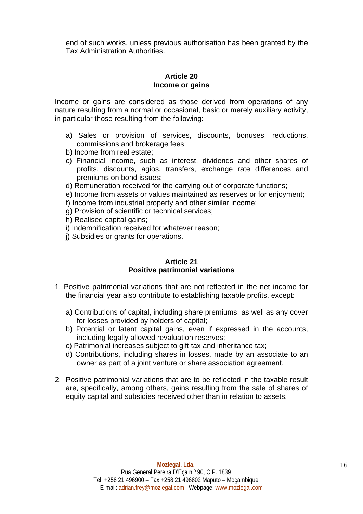end of such works, unless previous authorisation has been granted by the Tax Administration Authorities.

#### **Article 20 Income or gains**

Income or gains are considered as those derived from operations of any nature resulting from a normal or occasional, basic or merely auxiliary activity, in particular those resulting from the following:

- a) Sales or provision of services, discounts, bonuses, reductions, commissions and brokerage fees;
- b) Income from real estate;
- c) Financial income, such as interest, dividends and other shares of profits, discounts, agios, transfers, exchange rate differences and premiums on bond issues;
- d) Remuneration received for the carrying out of corporate functions;
- e) Income from assets or values maintained as reserves or for enjoyment;
- f) Income from industrial property and other similar income;
- g) Provision of scientific or technical services;
- h) Realised capital gains;
- i) Indemnification received for whatever reason;
- j) Subsidies or grants for operations.

#### **Article 21 Positive patrimonial variations**

- 1. Positive patrimonial variations that are not reflected in the net income for the financial year also contribute to establishing taxable profits, except:
	- a) Contributions of capital, including share premiums, as well as any cover for losses provided by holders of capital;
	- b) Potential or latent capital gains, even if expressed in the accounts, including legally allowed revaluation reserves;
	- c) Patrimonial increases subject to gift tax and inheritance tax;
	- d) Contributions, including shares in losses, made by an associate to an owner as part of a joint venture or share association agreement.
- 2. Positive patrimonial variations that are to be reflected in the taxable result are, specifically, among others, gains resulting from the sale of shares of equity capital and subsidies received other than in relation to assets.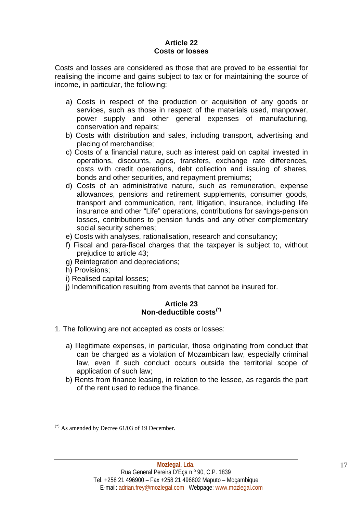# **Article 22 Costs or losses**

Costs and losses are considered as those that are proved to be essential for realising the income and gains subject to tax or for maintaining the source of income, in particular, the following:

- a) Costs in respect of the production or acquisition of any goods or services, such as those in respect of the materials used, manpower, power supply and other general expenses of manufacturing, conservation and repairs;
- b) Costs with distribution and sales, including transport, advertising and placing of merchandise;
- c) Costs of a financial nature, such as interest paid on capital invested in operations, discounts, agios, transfers, exchange rate differences, costs with credit operations, debt collection and issuing of shares, bonds and other securities, and repayment premiums;
- d) Costs of an administrative nature, such as remuneration, expense allowances, pensions and retirement supplements, consumer goods, transport and communication, rent, litigation, insurance, including life insurance and other "Life" operations, contributions for savings-pension losses, contributions to pension funds and any other complementary social security schemes;
- e) Costs with analyses, rationalisation, research and consultancy;
- f) Fiscal and para-fiscal charges that the taxpayer is subject to, without prejudice to article 43;
- g) Reintegration and depreciations;
- h) Provisions;
- i) Realised capital losses;
- j) Indemnification resulting from events that cannot be insured for.

#### **Article 23 Non-deductible costs[\(\\*\)](#page-16-0)**

- 1. The following are not accepted as costs or losses:
	- a) Illegitimate expenses, in particular, those originating from conduct that can be charged as a violation of Mozambican law, especially criminal law, even if such conduct occurs outside the territorial scope of application of such law;
	- b) Rents from finance leasing, in relation to the lessee, as regards the part of the rent used to reduce the finance.

<span id="page-16-0"></span> $(*)$  As amended by Decree 61/03 of 19 December.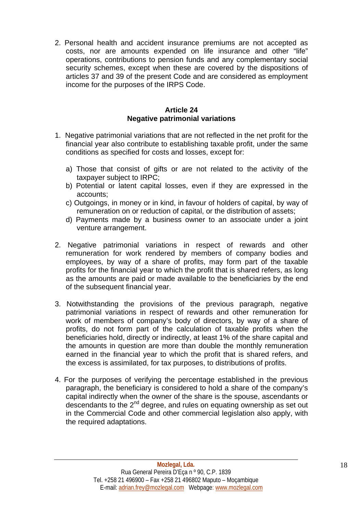2. Personal health and accident insurance premiums are not accepted as costs, nor are amounts expended on life insurance and other "life" operations, contributions to pension funds and any complementary social security schemes, except when these are covered by the dispositions of articles 37 and 39 of the present Code and are considered as employment income for the purposes of the IRPS Code.

## **Article 24 Negative patrimonial variations**

- 1. Negative patrimonial variations that are not reflected in the net profit for the financial year also contribute to establishing taxable profit, under the same conditions as specified for costs and losses, except for:
	- a) Those that consist of gifts or are not related to the activity of the taxpayer subject to IRPC;
	- b) Potential or latent capital losses, even if they are expressed in the accounts;
	- c) Outgoings, in money or in kind, in favour of holders of capital, by way of remuneration on or reduction of capital, or the distribution of assets;
	- d) Payments made by a business owner to an associate under a joint venture arrangement.
- 2. Negative patrimonial variations in respect of rewards and other remuneration for work rendered by members of company bodies and employees, by way of a share of profits, may form part of the taxable profits for the financial year to which the profit that is shared refers, as long as the amounts are paid or made available to the beneficiaries by the end of the subsequent financial year.
- 3. Notwithstanding the provisions of the previous paragraph, negative patrimonial variations in respect of rewards and other remuneration for work of members of company's body of directors, by way of a share of profits, do not form part of the calculation of taxable profits when the beneficiaries hold, directly or indirectly, at least 1% of the share capital and the amounts in question are more than double the monthly remuneration earned in the financial year to which the profit that is shared refers, and the excess is assimilated, for tax purposes, to distributions of profits.
- 4. For the purposes of verifying the percentage established in the previous paragraph, the beneficiary is considered to hold a share of the company's capital indirectly when the owner of the share is the spouse, ascendants or descendants to the 2<sup>nd</sup> degree, and rules on equating ownership as set out in the Commercial Code and other commercial legislation also apply, with the required adaptations.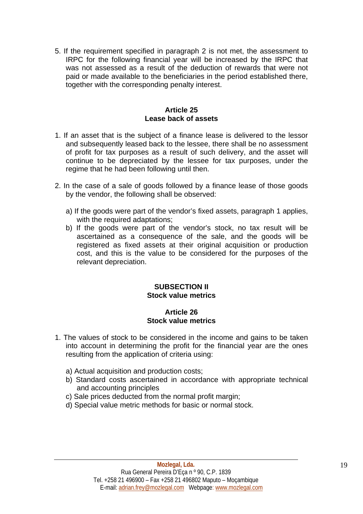5. If the requirement specified in paragraph 2 is not met, the assessment to IRPC for the following financial year will be increased by the IRPC that was not assessed as a result of the deduction of rewards that were not paid or made available to the beneficiaries in the period established there, together with the corresponding penalty interest.

#### **Article 25 Lease back of assets**

- 1. If an asset that is the subject of a finance lease is delivered to the lessor and subsequently leased back to the lessee, there shall be no assessment of profit for tax purposes as a result of such delivery, and the asset will continue to be depreciated by the lessee for tax purposes, under the regime that he had been following until then.
- 2. In the case of a sale of goods followed by a finance lease of those goods by the vendor, the following shall be observed:
	- a) If the goods were part of the vendor's fixed assets, paragraph 1 applies, with the required adaptations;
	- b) If the goods were part of the vendor's stock, no tax result will be ascertained as a consequence of the sale, and the goods will be registered as fixed assets at their original acquisition or production cost, and this is the value to be considered for the purposes of the relevant depreciation.

#### **SUBSECTION II Stock value metrics**

#### **Article 26 Stock value metrics**

- 1. The values of stock to be considered in the income and gains to be taken into account in determining the profit for the financial year are the ones resulting from the application of criteria using:
	- a) Actual acquisition and production costs;
	- b) Standard costs ascertained in accordance with appropriate technical and accounting principles
	- c) Sale prices deducted from the normal profit margin;
	- d) Special value metric methods for basic or normal stock.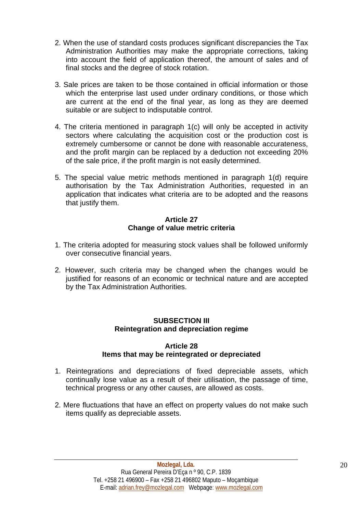- 2. When the use of standard costs produces significant discrepancies the Tax Administration Authorities may make the appropriate corrections, taking into account the field of application thereof, the amount of sales and of final stocks and the degree of stock rotation.
- 3. Sale prices are taken to be those contained in official information or those which the enterprise last used under ordinary conditions, or those which are current at the end of the final year, as long as they are deemed suitable or are subject to indisputable control.
- 4. The criteria mentioned in paragraph 1(c) will only be accepted in activity sectors where calculating the acquisition cost or the production cost is extremely cumbersome or cannot be done with reasonable accurateness, and the profit margin can be replaced by a deduction not exceeding 20% of the sale price, if the profit margin is not easily determined.
- 5. The special value metric methods mentioned in paragraph 1(d) require authorisation by the Tax Administration Authorities, requested in an application that indicates what criteria are to be adopted and the reasons that justify them.

## **Article 27 Change of value metric criteria**

- 1. The criteria adopted for measuring stock values shall be followed uniformly over consecutive financial years.
- 2. However, such criteria may be changed when the changes would be justified for reasons of an economic or technical nature and are accepted by the Tax Administration Authorities.

# **SUBSECTION III Reintegration and depreciation regime**

#### **Article 28 Items that may be reintegrated or depreciated**

- 1. Reintegrations and depreciations of fixed depreciable assets, which continually lose value as a result of their utilisation, the passage of time, technical progress or any other causes, are allowed as costs.
- 2. Mere fluctuations that have an effect on property values do not make such items qualify as depreciable assets.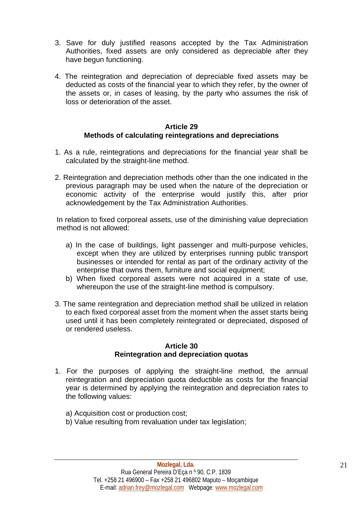- 3. Save for duly justified reasons accepted by the Tax Administration Authorities, fixed assets are only considered as depreciable after they have begun functioning.
- 4. The reintegration and depreciation of depreciable fixed assets may be deducted as costs of the financial year to which they refer, by the owner of the assets or, in cases of leasing, by the party who assumes the risk of loss or deterioration of the asset.

#### **Article 29 Methods of calculating reintegrations and depreciations**

- 1. As a rule, reintegrations and depreciations for the financial year shall be calculated by the straight-line method.
- 2. Reintegration and depreciation methods other than the one indicated in the previous paragraph may be used when the nature of the depreciation or economic activity of the enterprise would justify this, after prior acknowledgement by the Tax Administration Authorities.

In relation to fixed corporeal assets, use of the diminishing value depreciation method is not allowed:

- a) In the case of buildings, light passenger and multi-purpose vehicles, except when they are utilized by enterprises running public transport businesses or intended for rental as part of the ordinary activity of the enterprise that owns them, furniture and social equipment;
- b) When fixed corporeal assets were not acquired in a state of use, whereupon the use of the straight-line method is compulsory.
- 3. The same reintegration and depreciation method shall be utilized in relation to each fixed corporeal asset from the moment when the asset starts being used until it has been completely reintegrated or depreciated, disposed of or rendered useless.

#### **Article 30 Reintegration and depreciation quotas**

- 1. For the purposes of applying the straight-line method, the annual reintegration and depreciation quota deductible as costs for the financial year is determined by applying the reintegration and depreciation rates to the following values:
	- a) Acquisition cost or production cost;
	- b) Value resulting from revaluation under tax legislation;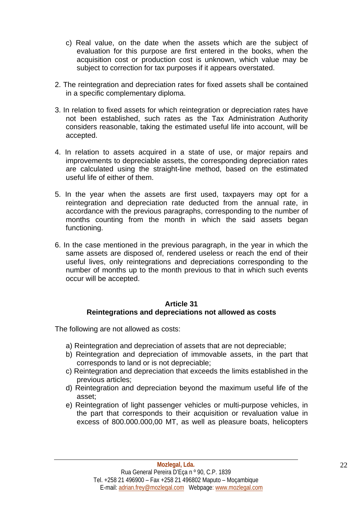- c) Real value, on the date when the assets which are the subject of evaluation for this purpose are first entered in the books, when the acquisition cost or production cost is unknown, which value may be subject to correction for tax purposes if it appears overstated.
- 2. The reintegration and depreciation rates for fixed assets shall be contained in a specific complementary diploma.
- 3. In relation to fixed assets for which reintegration or depreciation rates have not been established, such rates as the Tax Administration Authority considers reasonable, taking the estimated useful life into account, will be accepted.
- 4. In relation to assets acquired in a state of use, or major repairs and improvements to depreciable assets, the corresponding depreciation rates are calculated using the straight-line method, based on the estimated useful life of either of them.
- 5. In the year when the assets are first used, taxpayers may opt for a reintegration and depreciation rate deducted from the annual rate, in accordance with the previous paragraphs, corresponding to the number of months counting from the month in which the said assets began functioning.
- 6. In the case mentioned in the previous paragraph, in the year in which the same assets are disposed of, rendered useless or reach the end of their useful lives, only reintegrations and depreciations corresponding to the number of months up to the month previous to that in which such events occur will be accepted.

# **Article 31 Reintegrations and depreciations not allowed as costs**

The following are not allowed as costs:

- a) Reintegration and depreciation of assets that are not depreciable;
- b) Reintegration and depreciation of immovable assets, in the part that corresponds to land or is not depreciable;
- c) Reintegration and depreciation that exceeds the limits established in the previous articles;
- d) Reintegration and depreciation beyond the maximum useful life of the asset;
- e) Reintegration of light passenger vehicles or multi-purpose vehicles, in the part that corresponds to their acquisition or revaluation value in excess of 800.000.000,00 MT, as well as pleasure boats, helicopters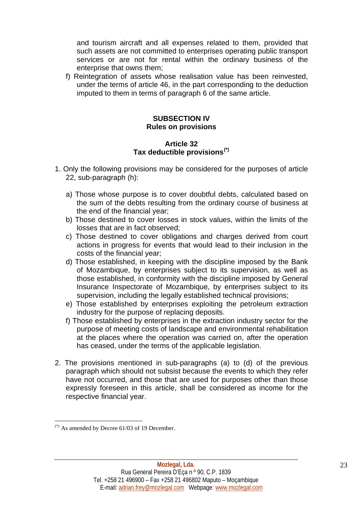and tourism aircraft and all expenses related to them, provided that such assets are not committed to enterprises operating public transport services or are not for rental within the ordinary business of the enterprise that owns them;

f) Reintegration of assets whose realisation value has been reinvested, under the terms of article 46, in the part corresponding to the deduction imputed to them in terms of paragraph 6 of the same article.

#### **SUBSECTION IV Rules on provisions**

#### **Article 32 Tax deductible provisions[\(\\*\)](#page-22-0)**

- 1. Only the following provisions may be considered for the purposes of article 22, sub-paragraph (h):
	- a) Those whose purpose is to cover doubtful debts, calculated based on the sum of the debts resulting from the ordinary course of business at the end of the financial year;
	- b) Those destined to cover losses in stock values, within the limits of the losses that are in fact observed;
	- c) Those destined to cover obligations and charges derived from court actions in progress for events that would lead to their inclusion in the costs of the financial year;
	- d) Those established, in keeping with the discipline imposed by the Bank of Mozambique, by enterprises subject to its supervision, as well as those established, in conformity with the discipline imposed by General Insurance Inspectorate of Mozambique, by enterprises subject to its supervision, including the legally established technical provisions;
	- e) Those established by enterprises exploiting the petroleum extraction industry for the purpose of replacing deposits.
	- f) Those established by enterprises in the extraction industry sector for the purpose of meeting costs of landscape and environmental rehabilitation at the places where the operation was carried on, after the operation has ceased, under the terms of the applicable legislation.
- 2. The provisions mentioned in sub-paragraphs (a) to (d) of the previous paragraph which should not subsist because the events to which they refer have not occurred, and those that are used for purposes other than those expressly foreseen in this article, shall be considered as income for the respective financial year.

<span id="page-22-0"></span> $(*)$  As amended by Decree 61/03 of 19 December.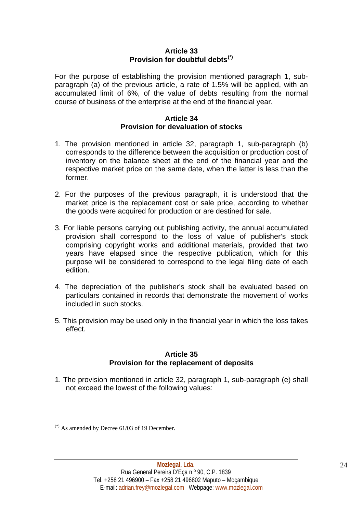#### **Article 33 Provision for doubtful debts[\(\\*\)](#page-23-0)**

For the purpose of establishing the provision mentioned paragraph 1, subparagraph (a) of the previous article, a rate of 1.5% will be applied, with an accumulated limit of 6%, of the value of debts resulting from the normal course of business of the enterprise at the end of the financial year.

# **Article 34 Provision for devaluation of stocks**

- 1. The provision mentioned in article 32, paragraph 1, sub-paragraph (b) corresponds to the difference between the acquisition or production cost of inventory on the balance sheet at the end of the financial year and the respective market price on the same date, when the latter is less than the former.
- 2. For the purposes of the previous paragraph, it is understood that the market price is the replacement cost or sale price, according to whether the goods were acquired for production or are destined for sale.
- 3. For liable persons carrying out publishing activity, the annual accumulated provision shall correspond to the loss of value of publisher's stock comprising copyright works and additional materials, provided that two years have elapsed since the respective publication, which for this purpose will be considered to correspond to the legal filing date of each edition.
- 4. The depreciation of the publisher's stock shall be evaluated based on particulars contained in records that demonstrate the movement of works included in such stocks.
- 5. This provision may be used only in the financial year in which the loss takes effect.

# **Article 35 Provision for the replacement of deposits**

1. The provision mentioned in article 32, paragraph 1, sub-paragraph (e) shall not exceed the lowest of the following values:

<span id="page-23-0"></span> $(*)$  As amended by Decree 61/03 of 19 December.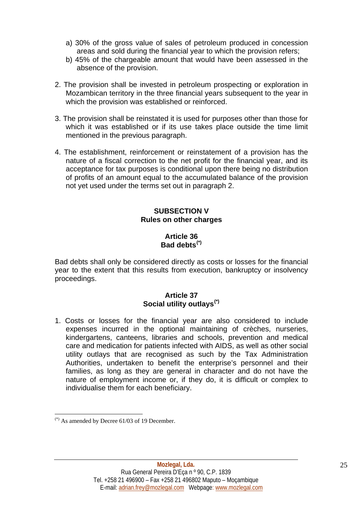- a) 30% of the gross value of sales of petroleum produced in concession areas and sold during the financial year to which the provision refers;
- b) 45% of the chargeable amount that would have been assessed in the absence of the provision.
- 2. The provision shall be invested in petroleum prospecting or exploration in Mozambican territory in the three financial years subsequent to the year in which the provision was established or reinforced.
- 3. The provision shall be reinstated it is used for purposes other than those for which it was established or if its use takes place outside the time limit mentioned in the previous paragraph.
- 4. The establishment, reinforcement or reinstatement of a provision has the nature of a fiscal correction to the net profit for the financial year, and its acceptance for tax purposes is conditional upon there being no distribution of profits of an amount equal to the accumulated balance of the provision not yet used under the terms set out in paragraph 2.

# **SUBSECTION V Rules on other charges**

# **Article 36 Bad debts[\(\\*\)](#page-24-0)**

Bad debts shall only be considered directly as costs or losses for the financial year to the extent that this results from execution, bankruptcy or insolvency proceedings.

#### **Article 37 Social utility outlays[\(\\*\)](#page-24-1)**

1. Costs or losses for the financial year are also considered to include expenses incurred in the optional maintaining of crèches, nurseries, kindergartens, canteens, libraries and schools, prevention and medical care and medication for patients infected with AIDS, as well as other social utility outlays that are recognised as such by the Tax Administration Authorities, undertaken to benefit the enterprise's personnel and their families, as long as they are general in character and do not have the nature of employment income or, if they do, it is difficult or complex to individualise them for each beneficiary.

<u>.</u>

<span id="page-24-1"></span><span id="page-24-0"></span> $(*)$  As amended by Decree 61/03 of 19 December.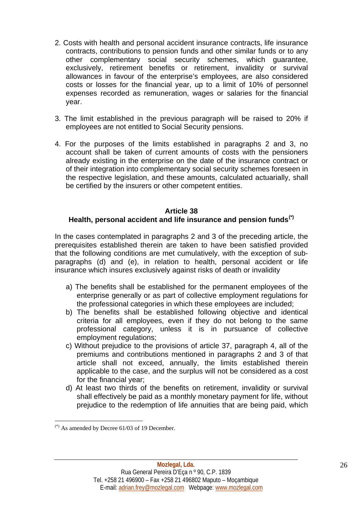- 2. Costs with health and personal accident insurance contracts, life insurance contracts, contributions to pension funds and other similar funds or to any other complementary social security schemes, which guarantee, exclusively, retirement benefits or retirement, invalidity or survival allowances in favour of the enterprise's employees, are also considered costs or losses for the financial year, up to a limit of 10% of personnel expenses recorded as remuneration, wages or salaries for the financial year.
- 3. The limit established in the previous paragraph will be raised to 20% if employees are not entitled to Social Security pensions.
- 4. For the purposes of the limits established in paragraphs 2 and 3, no account shall be taken of current amounts of costs with the pensioners already existing in the enterprise on the date of the insurance contract or of their integration into complementary social security schemes foreseen in the respective legislation, and these amounts, calculated actuarially, shall be certified by the insurers or other competent entities.

#### **Article 38**

# **Health, personal accident and life insurance and pension funds[\(\\*\)](#page-25-0)**

In the cases contemplated in paragraphs 2 and 3 of the preceding article, the prerequisites established therein are taken to have been satisfied provided that the following conditions are met cumulatively, with the exception of subparagraphs (d) and (e), in relation to health, personal accident or life insurance which insures exclusively against risks of death or invalidity

- a) The benefits shall be established for the permanent employees of the enterprise generally or as part of collective employment regulations for the professional categories in which these employees are included;
- b) The benefits shall be established following objective and identical criteria for all employees, even if they do not belong to the same professional category, unless it is in pursuance of collective employment regulations;
- c) Without prejudice to the provisions of article 37, paragraph 4, all of the premiums and contributions mentioned in paragraphs 2 and 3 of that article shall not exceed, annually, the limits established therein applicable to the case, and the surplus will not be considered as a cost for the financial year;
- d) At least two thirds of the benefits on retirement, invalidity or survival shall effectively be paid as a monthly monetary payment for life, without prejudice to the redemption of life annuities that are being paid, which

<span id="page-25-0"></span> $(*)$  As amended by Decree 61/03 of 19 December.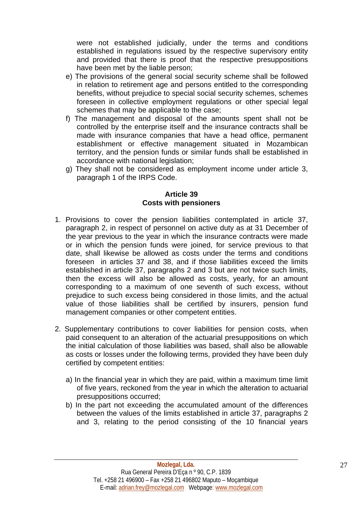were not established judicially, under the terms and conditions established in regulations issued by the respective supervisory entity and provided that there is proof that the respective presuppositions have been met by the liable person;

- e) The provisions of the general social security scheme shall be followed in relation to retirement age and persons entitled to the corresponding benefits, without prejudice to special social security schemes, schemes foreseen in collective employment regulations or other special legal schemes that may be applicable to the case;
- f) The management and disposal of the amounts spent shall not be controlled by the enterprise itself and the insurance contracts shall be made with insurance companies that have a head office, permanent establishment or effective management situated in Mozambican territory, and the pension funds or similar funds shall be established in accordance with national legislation;
- g) They shall not be considered as employment income under article 3, paragraph 1 of the IRPS Code.

## **Article 39 Costs with pensioners**

- 1. Provisions to cover the pension liabilities contemplated in article 37, paragraph 2, in respect of personnel on active duty as at 31 December of the year previous to the year in which the insurance contracts were made or in which the pension funds were joined, for service previous to that date, shall likewise be allowed as costs under the terms and conditions foreseen in articles 37 and 38, and if those liabilities exceed the limits established in article 37, paragraphs 2 and 3 but are not twice such limits, then the excess will also be allowed as costs, yearly, for an amount corresponding to a maximum of one seventh of such excess, without prejudice to such excess being considered in those limits, and the actual value of those liabilities shall be certified by insurers, pension fund management companies or other competent entities.
- 2. Supplementary contributions to cover liabilities for pension costs, when paid consequent to an alteration of the actuarial presuppositions on which the initial calculation of those liabilities was based, shall also be allowable as costs or losses under the following terms, provided they have been duly certified by competent entities:
	- a) In the financial year in which they are paid, within a maximum time limit of five years, reckoned from the year in which the alteration to actuarial presuppositions occurred;
	- b) In the part not exceeding the accumulated amount of the differences between the values of the limits established in article 37, paragraphs 2 and 3, relating to the period consisting of the 10 financial years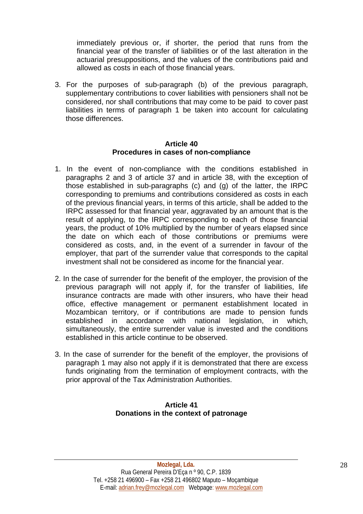immediately previous or, if shorter, the period that runs from the financial year of the transfer of liabilities or of the last alteration in the actuarial presuppositions, and the values of the contributions paid and allowed as costs in each of those financial years.

3. For the purposes of sub-paragraph (b) of the previous paragraph, supplementary contributions to cover liabilities with pensioners shall not be considered, nor shall contributions that may come to be paid to cover past liabilities in terms of paragraph 1 be taken into account for calculating those differences.

#### **Article 40 Procedures in cases of non-compliance**

- 1. In the event of non-compliance with the conditions established in paragraphs 2 and 3 of article 37 and in article 38, with the exception of those established in sub-paragraphs (c) and (g) of the latter, the IRPC corresponding to premiums and contributions considered as costs in each of the previous financial years, in terms of this article, shall be added to the IRPC assessed for that financial year, aggravated by an amount that is the result of applying, to the IRPC corresponding to each of those financial years, the product of 10% multiplied by the number of years elapsed since the date on which each of those contributions or premiums were considered as costs, and, in the event of a surrender in favour of the employer, that part of the surrender value that corresponds to the capital investment shall not be considered as income for the financial year.
- 2. In the case of surrender for the benefit of the employer, the provision of the previous paragraph will not apply if, for the transfer of liabilities, life insurance contracts are made with other insurers, who have their head office, effective management or permanent establishment located in Mozambican territory, or if contributions are made to pension funds established in accordance with national legislation, in which, simultaneously, the entire surrender value is invested and the conditions established in this article continue to be observed.
- 3. In the case of surrender for the benefit of the employer, the provisions of paragraph 1 may also not apply if it is demonstrated that there are excess funds originating from the termination of employment contracts, with the prior approval of the Tax Administration Authorities.

# **Article 41 Donations in the context of patronage**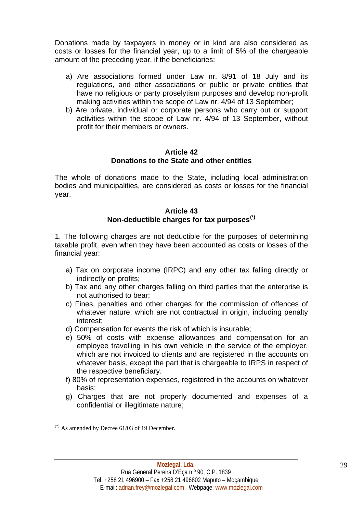Donations made by taxpayers in money or in kind are also considered as costs or losses for the financial year, up to a limit of 5% of the chargeable amount of the preceding year, if the beneficiaries:

- a) Are associations formed under Law nr. 8/91 of 18 July and its regulations, and other associations or public or private entities that have no religious or party proselytism purposes and develop non-profit making activities within the scope of Law nr. 4/94 of 13 September;
- b) Are private, individual or corporate persons who carry out or support activities within the scope of Law nr. 4/94 of 13 September, without profit for their members or owners.

#### **Article 42 Donations to the State and other entities**

The whole of donations made to the State, including local administration bodies and municipalities, are considered as costs or losses for the financial year.

#### **Article 43 Non-deductible charges for tax purposes[\(\\*\)](#page-28-0)**

1. The following charges are not deductible for the purposes of determining taxable profit, even when they have been accounted as costs or losses of the financial year:

- a) Tax on corporate income (IRPC) and any other tax falling directly or indirectly on profits;
- b) Tax and any other charges falling on third parties that the enterprise is not authorised to bear;
- c) Fines, penalties and other charges for the commission of offences of whatever nature, which are not contractual in origin, including penalty interest;
- d) Compensation for events the risk of which is insurable;
- e) 50% of costs with expense allowances and compensation for an employee travelling in his own vehicle in the service of the employer, which are not invoiced to clients and are registered in the accounts on whatever basis, except the part that is chargeable to IRPS in respect of the respective beneficiary.
- f) 80% of representation expenses, registered in the accounts on whatever basis;
- g) Charges that are not properly documented and expenses of a confidential or illegitimate nature;

<span id="page-28-0"></span> $(*)$  As amended by Decree 61/03 of 19 December.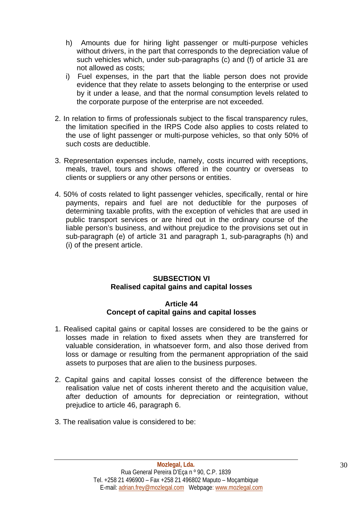- h) Amounts due for hiring light passenger or multi-purpose vehicles without drivers, in the part that corresponds to the depreciation value of such vehicles which, under sub-paragraphs (c) and (f) of article 31 are not allowed as costs;
- i) Fuel expenses, in the part that the liable person does not provide evidence that they relate to assets belonging to the enterprise or used by it under a lease, and that the normal consumption levels related to the corporate purpose of the enterprise are not exceeded.
- 2. In relation to firms of professionals subject to the fiscal transparency rules, the limitation specified in the IRPS Code also applies to costs related to the use of light passenger or multi-purpose vehicles, so that only 50% of such costs are deductible.
- 3. Representation expenses include, namely, costs incurred with receptions, meals, travel, tours and shows offered in the country or overseas to clients or suppliers or any other persons or entities.
- 4. 50% of costs related to light passenger vehicles, specifically, rental or hire payments, repairs and fuel are not deductible for the purposes of determining taxable profits, with the exception of vehicles that are used in public transport services or are hired out in the ordinary course of the liable person's business, and without prejudice to the provisions set out in sub-paragraph (e) of article 31 and paragraph 1, sub-paragraphs (h) and (i) of the present article.

# **SUBSECTION VI Realised capital gains and capital losses**

# **Article 44 Concept of capital gains and capital losses**

- 1. Realised capital gains or capital losses are considered to be the gains or losses made in relation to fixed assets when they are transferred for valuable consideration, in whatsoever form, and also those derived from loss or damage or resulting from the permanent appropriation of the said assets to purposes that are alien to the business purposes.
- 2. Capital gains and capital losses consist of the difference between the realisation value net of costs inherent thereto and the acquisition value, after deduction of amounts for depreciation or reintegration, without prejudice to article 46, paragraph 6.
- 3. The realisation value is considered to be: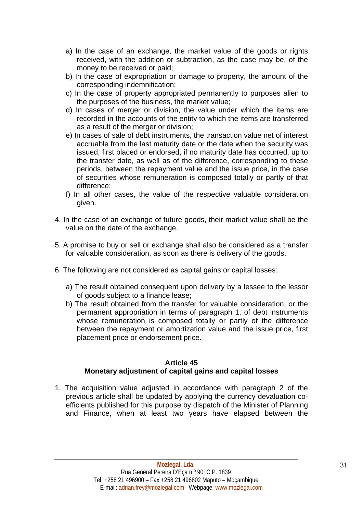- a) In the case of an exchange, the market value of the goods or rights received, with the addition or subtraction, as the case may be, of the money to be received or paid;
- b) In the case of expropriation or damage to property, the amount of the corresponding indemnification;
- c) In the case of property appropriated permanently to purposes alien to the purposes of the business, the market value;
- d) In cases of merger or division, the value under which the items are recorded in the accounts of the entity to which the items are transferred as a result of the merger or division;
- e) In cases of sale of debt instruments, the transaction value net of interest accruable from the last maturity date or the date when the security was issued, first placed or endorsed, if no maturity date has occurred, up to the transfer date, as well as of the difference, corresponding to these periods, between the repayment value and the issue price, in the case of securities whose remuneration is composed totally or partly of that difference;
- f) In all other cases, the value of the respective valuable consideration given.
- 4. In the case of an exchange of future goods, their market value shall be the value on the date of the exchange.
- 5. A promise to buy or sell or exchange shall also be considered as a transfer for valuable consideration, as soon as there is delivery of the goods.
- 6. The following are not considered as capital gains or capital losses:
	- a) The result obtained consequent upon delivery by a lessee to the lessor of goods subject to a finance lease;
	- b) The result obtained from the transfer for valuable consideration, or the permanent appropriation in terms of paragraph 1, of debt instruments whose remuneration is composed totally or partly of the difference between the repayment or amortization value and the issue price, first placement price or endorsement price.

# **Article 45 Monetary adjustment of capital gains and capital losses**

1. The acquisition value adjusted in accordance with paragraph 2 of the previous article shall be updated by applying the currency devaluation coefficients published for this purpose by dispatch of the Minister of Planning and Finance, when at least two years have elapsed between the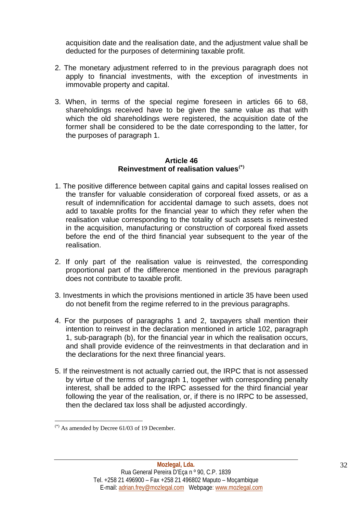acquisition date and the realisation date, and the adjustment value shall be deducted for the purposes of determining taxable profit.

- 2. The monetary adjustment referred to in the previous paragraph does not apply to financial investments, with the exception of investments in immovable property and capital.
- 3. When, in terms of the special regime foreseen in articles 66 to 68, shareholdings received have to be given the same value as that with which the old shareholdings were registered, the acquisition date of the former shall be considered to be the date corresponding to the latter, for the purposes of paragraph 1.

#### **Article 46 Reinvestment of realisation values[\(\\*\)](#page-31-0)**

- 1. The positive difference between capital gains and capital losses realised on the transfer for valuable consideration of corporeal fixed assets, or as a result of indemnification for accidental damage to such assets, does not add to taxable profits for the financial year to which they refer when the realisation value corresponding to the totality of such assets is reinvested in the acquisition, manufacturing or construction of corporeal fixed assets before the end of the third financial year subsequent to the year of the realisation.
- 2. If only part of the realisation value is reinvested, the corresponding proportional part of the difference mentioned in the previous paragraph does not contribute to taxable profit.
- 3. Investments in which the provisions mentioned in article 35 have been used do not benefit from the regime referred to in the previous paragraphs.
- 4. For the purposes of paragraphs 1 and 2, taxpayers shall mention their intention to reinvest in the declaration mentioned in article 102, paragraph 1, sub-paragraph (b), for the financial year in which the realisation occurs, and shall provide evidence of the reinvestments in that declaration and in the declarations for the next three financial years.
- 5. If the reinvestment is not actually carried out, the IRPC that is not assessed by virtue of the terms of paragraph 1, together with corresponding penalty interest, shall be added to the IRPC assessed for the third financial year following the year of the realisation, or, if there is no IRPC to be assessed, then the declared tax loss shall be adjusted accordingly.

<span id="page-31-0"></span> $(*)$  As amended by Decree 61/03 of 19 December.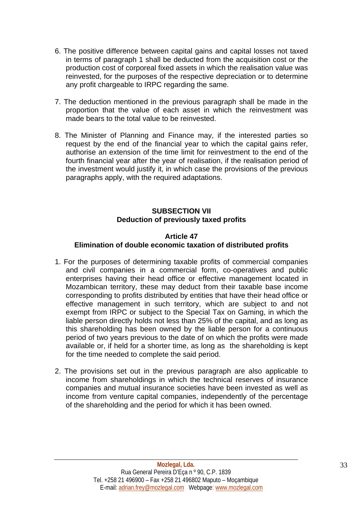- 6. The positive difference between capital gains and capital losses not taxed in terms of paragraph 1 shall be deducted from the acquisition cost or the production cost of corporeal fixed assets in which the realisation value was reinvested, for the purposes of the respective depreciation or to determine any profit chargeable to IRPC regarding the same.
- 7. The deduction mentioned in the previous paragraph shall be made in the proportion that the value of each asset in which the reinvestment was made bears to the total value to be reinvested.
- 8. The Minister of Planning and Finance may, if the interested parties so request by the end of the financial year to which the capital gains refer, authorise an extension of the time limit for reinvestment to the end of the fourth financial year after the year of realisation, if the realisation period of the investment would justify it, in which case the provisions of the previous paragraphs apply, with the required adaptations.

# **SUBSECTION VII Deduction of previously taxed profits**

# **Article 47**

# **Elimination of double economic taxation of distributed profits**

- 1. For the purposes of determining taxable profits of commercial companies and civil companies in a commercial form, co-operatives and public enterprises having their head office or effective management located in Mozambican territory, these may deduct from their taxable base income corresponding to profits distributed by entities that have their head office or effective management in such territory, which are subject to and not exempt from IRPC or subject to the Special Tax on Gaming, in which the liable person directly holds not less than 25% of the capital, and as long as this shareholding has been owned by the liable person for a continuous period of two years previous to the date of on which the profits were made available or, if held for a shorter time, as long as the shareholding is kept for the time needed to complete the said period.
- 2. The provisions set out in the previous paragraph are also applicable to income from shareholdings in which the technical reserves of insurance companies and mutual insurance societies have been invested as well as income from venture capital companies, independently of the percentage of the shareholding and the period for which it has been owned.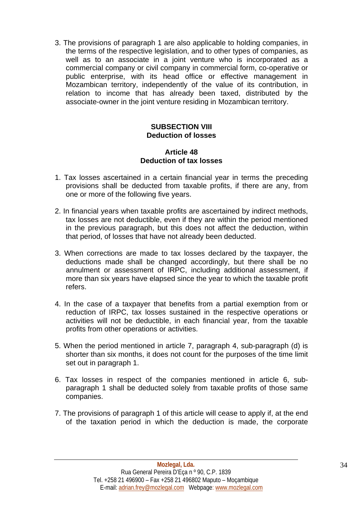3. The provisions of paragraph 1 are also applicable to holding companies, in the terms of the respective legislation, and to other types of companies, as well as to an associate in a joint venture who is incorporated as a commercial company or civil company in commercial form, co-operative or public enterprise, with its head office or effective management in Mozambican territory, independently of the value of its contribution, in relation to income that has already been taxed, distributed by the associate-owner in the joint venture residing in Mozambican territory.

# **SUBSECTION VIII Deduction of losses**

# **Article 48 Deduction of tax losses**

- 1. Tax losses ascertained in a certain financial year in terms the preceding provisions shall be deducted from taxable profits, if there are any, from one or more of the following five years.
- 2. In financial years when taxable profits are ascertained by indirect methods, tax losses are not deductible, even if they are within the period mentioned in the previous paragraph, but this does not affect the deduction, within that period, of losses that have not already been deducted.
- 3. When corrections are made to tax losses declared by the taxpayer, the deductions made shall be changed accordingly, but there shall be no annulment or assessment of IRPC, including additional assessment, if more than six years have elapsed since the year to which the taxable profit refers.
- 4. In the case of a taxpayer that benefits from a partial exemption from or reduction of IRPC, tax losses sustained in the respective operations or activities will not be deductible, in each financial year, from the taxable profits from other operations or activities.
- 5. When the period mentioned in article 7, paragraph 4, sub-paragraph (d) is shorter than six months, it does not count for the purposes of the time limit set out in paragraph 1.
- 6. Tax losses in respect of the companies mentioned in article 6, subparagraph 1 shall be deducted solely from taxable profits of those same companies.
- 7. The provisions of paragraph 1 of this article will cease to apply if, at the end of the taxation period in which the deduction is made, the corporate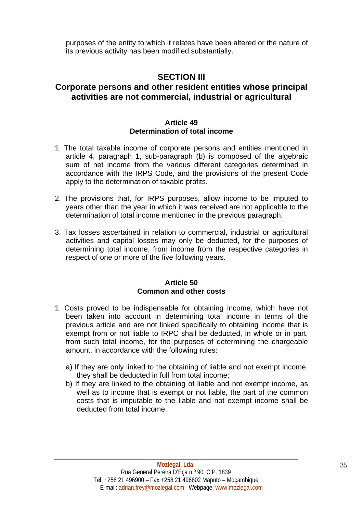purposes of the entity to which it relates have been altered or the nature of its previous activity has been modified substantially.

# **SECTION III**

# **Corporate persons and other resident entities whose principal activities are not commercial, industrial or agricultural**

#### **Article 49 Determination of total income**

- 1. The total taxable income of corporate persons and entities mentioned in article 4, paragraph 1, sub-paragraph (b) is composed of the algebraic sum of net income from the various different categories determined in accordance with the IRPS Code, and the provisions of the present Code apply to the determination of taxable profits.
- 2. The provisions that, for IRPS purposes, allow income to be imputed to years other than the year in which it was received are not applicable to the determination of total income mentioned in the previous paragraph.
- 3. Tax losses ascertained in relation to commercial, industrial or agricultural activities and capital losses may only be deducted, for the purposes of determining total income, from income from the respective categories in respect of one or more of the five following years.

#### **Article 50 Common and other costs**

- 1. Costs proved to be indispensable for obtaining income, which have not been taken into account in determining total income in terms of the previous article and are not linked specifically to obtaining income that is exempt from or not liable to IRPC shall be deducted, in whole or in part, from such total income, for the purposes of determining the chargeable amount, in accordance with the following rules:
	- a) If they are only linked to the obtaining of liable and not exempt income, they shall be deducted in full from total income;
	- b) If they are linked to the obtaining of liable and not exempt income, as well as to income that is exempt or not liable, the part of the common costs that is imputable to the liable and not exempt income shall be deducted from total income.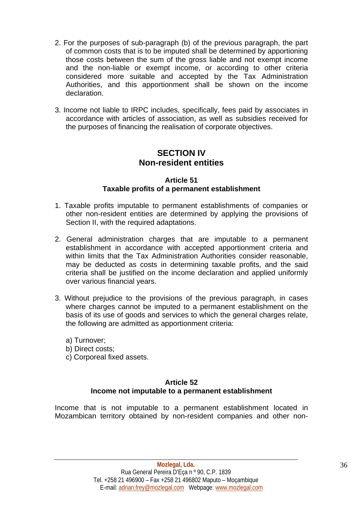- 2. For the purposes of sub-paragraph (b) of the previous paragraph, the part of common costs that is to be imputed shall be determined by apportioning those costs between the sum of the gross liable and not exempt income and the non-liable or exempt income, or according to other criteria considered more suitable and accepted by the Tax Administration Authorities, and this apportionment shall be shown on the income declaration.
- 3. Income not liable to IRPC includes, specifically, fees paid by associates in accordance with articles of association, as well as subsidies received for the purposes of financing the realisation of corporate objectives.

# **SECTION IV Non-resident entities**

#### **Article 51 Taxable profits of a permanent establishment**

- 1. Taxable profits imputable to permanent establishments of companies or other non-resident entities are determined by applying the provisions of Section II, with the required adaptations.
- 2. General administration charges that are imputable to a permanent establishment in accordance with accepted apportionment criteria and within limits that the Tax Administration Authorities consider reasonable, may be deducted as costs in determining taxable profits, and the said criteria shall be justified on the income declaration and applied uniformly over various financial years.
- 3. Without prejudice to the provisions of the previous paragraph, in cases where charges cannot be imputed to a permanent establishment on the basis of its use of goods and services to which the general charges relate, the following are admitted as apportionment criteria:
	- a) Turnover;
	- b) Direct costs;
	- c) Corporeal fixed assets.

# **Article 52**

# **Income not imputable to a permanent establishment**

Income that is not imputable to a permanent establishment located in Mozambican territory obtained by non-resident companies and other non-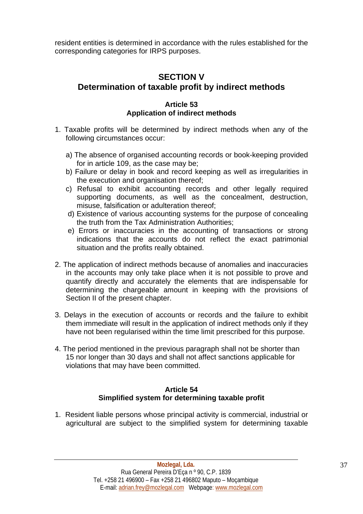resident entities is determined in accordance with the rules established for the corresponding categories for IRPS purposes.

# **SECTION V Determination of taxable profit by indirect methods**

## **Article 53 Application of indirect methods**

- 1. Taxable profits will be determined by indirect methods when any of the following circumstances occur:
	- a) The absence of organised accounting records or book-keeping provided for in article 109, as the case may be;
	- b) Failure or delay in book and record keeping as well as irregularities in the execution and organisation thereof;
	- c) Refusal to exhibit accounting records and other legally required supporting documents, as well as the concealment, destruction, misuse, falsification or adulteration thereof;
	- d) Existence of various accounting systems for the purpose of concealing the truth from the Tax Administration Authorities;
	- e) Errors or inaccuracies in the accounting of transactions or strong indications that the accounts do not reflect the exact patrimonial situation and the profits really obtained.
- 2. The application of indirect methods because of anomalies and inaccuracies in the accounts may only take place when it is not possible to prove and quantify directly and accurately the elements that are indispensable for determining the chargeable amount in keeping with the provisions of Section II of the present chapter.
- 3. Delays in the execution of accounts or records and the failure to exhibit them immediate will result in the application of indirect methods only if they have not been regularised within the time limit prescribed for this purpose.
- 4. The period mentioned in the previous paragraph shall not be shorter than 15 nor longer than 30 days and shall not affect sanctions applicable for violations that may have been committed.

# **Article 54 Simplified system for determining taxable profit**

1. Resident liable persons whose principal activity is commercial, industrial or agricultural are subject to the simplified system for determining taxable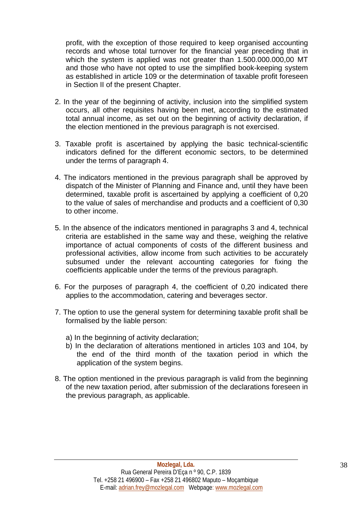profit, with the exception of those required to keep organised accounting records and whose total turnover for the financial year preceding that in which the system is applied was not greater than 1.500.000.000,00 MT and those who have not opted to use the simplified book-keeping system as established in article 109 or the determination of taxable profit foreseen in Section II of the present Chapter.

- 2. In the year of the beginning of activity, inclusion into the simplified system occurs, all other requisites having been met, according to the estimated total annual income, as set out on the beginning of activity declaration, if the election mentioned in the previous paragraph is not exercised.
- 3. Taxable profit is ascertained by applying the basic technical-scientific indicators defined for the different economic sectors, to be determined under the terms of paragraph 4.
- 4. The indicators mentioned in the previous paragraph shall be approved by dispatch of the Minister of Planning and Finance and, until they have been determined, taxable profit is ascertained by applying a coefficient of 0,20 to the value of sales of merchandise and products and a coefficient of 0,30 to other income.
- 5. In the absence of the indicators mentioned in paragraphs 3 and 4, technical criteria are established in the same way and these, weighing the relative importance of actual components of costs of the different business and professional activities, allow income from such activities to be accurately subsumed under the relevant accounting categories for fixing the coefficients applicable under the terms of the previous paragraph.
- 6. For the purposes of paragraph 4, the coefficient of 0,20 indicated there applies to the accommodation, catering and beverages sector.
- 7. The option to use the general system for determining taxable profit shall be formalised by the liable person:
	- a) In the beginning of activity declaration;
	- b) In the declaration of alterations mentioned in articles 103 and 104, by the end of the third month of the taxation period in which the application of the system begins.
- 8. The option mentioned in the previous paragraph is valid from the beginning of the new taxation period, after submission of the declarations foreseen in the previous paragraph, as applicable.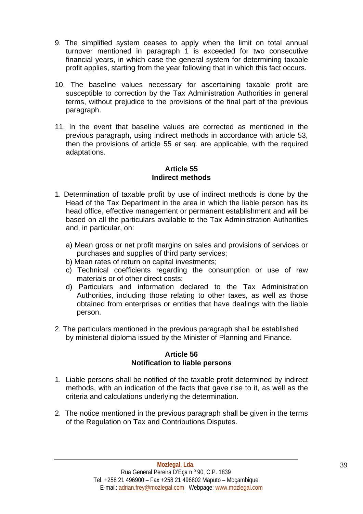- 9. The simplified system ceases to apply when the limit on total annual turnover mentioned in paragraph 1 is exceeded for two consecutive financial years, in which case the general system for determining taxable profit applies, starting from the year following that in which this fact occurs.
- 10. The baseline values necessary for ascertaining taxable profit are susceptible to correction by the Tax Administration Authorities in general terms, without prejudice to the provisions of the final part of the previous paragraph.
- 11. In the event that baseline values are corrected as mentioned in the previous paragraph, using indirect methods in accordance with article 53, then the provisions of article 55 *et seq.* are applicable, with the required adaptations.

# **Article 55 Indirect methods**

- 1. Determination of taxable profit by use of indirect methods is done by the Head of the Tax Department in the area in which the liable person has its head office, effective management or permanent establishment and will be based on all the particulars available to the Tax Administration Authorities and, in particular, on:
	- a) Mean gross or net profit margins on sales and provisions of services or purchases and supplies of third party services;
	- b) Mean rates of return on capital investments;
	- c) Technical coefficients regarding the consumption or use of raw materials or of other direct costs;
	- d) Particulars and information declared to the Tax Administration Authorities, including those relating to other taxes, as well as those obtained from enterprises or entities that have dealings with the liable person.
- 2. The particulars mentioned in the previous paragraph shall be established by ministerial diploma issued by the Minister of Planning and Finance.

## **Article 56 Notification to liable persons**

- 1. Liable persons shall be notified of the taxable profit determined by indirect methods, with an indication of the facts that gave rise to it, as well as the criteria and calculations underlying the determination.
- 2. The notice mentioned in the previous paragraph shall be given in the terms of the Regulation on Tax and Contributions Disputes.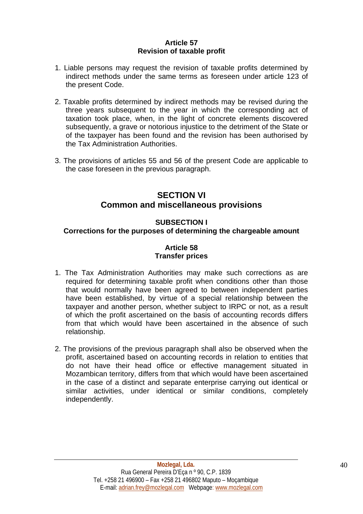## **Article 57 Revision of taxable profit**

- 1. Liable persons may request the revision of taxable profits determined by indirect methods under the same terms as foreseen under article 123 of the present Code.
- 2. Taxable profits determined by indirect methods may be revised during the three years subsequent to the year in which the corresponding act of taxation took place, when, in the light of concrete elements discovered subsequently, a grave or notorious injustice to the detriment of the State or of the taxpayer has been found and the revision has been authorised by the Tax Administration Authorities.
- 3. The provisions of articles 55 and 56 of the present Code are applicable to the case foreseen in the previous paragraph.

# **SECTION VI Common and miscellaneous provisions**

# **SUBSECTION I**

# **Corrections for the purposes of determining the chargeable amount**

# **Article 58 Transfer prices**

- 1. The Tax Administration Authorities may make such corrections as are required for determining taxable profit when conditions other than those that would normally have been agreed to between independent parties have been established, by virtue of a special relationship between the taxpayer and another person, whether subject to IRPC or not, as a result of which the profit ascertained on the basis of accounting records differs from that which would have been ascertained in the absence of such relationship.
- 2. The provisions of the previous paragraph shall also be observed when the profit, ascertained based on accounting records in relation to entities that do not have their head office or effective management situated in Mozambican territory, differs from that which would have been ascertained in the case of a distinct and separate enterprise carrying out identical or similar activities, under identical or similar conditions, completely independently.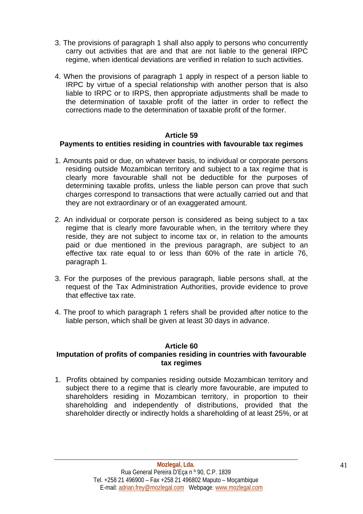- 3. The provisions of paragraph 1 shall also apply to persons who concurrently carry out activities that are and that are not liable to the general IRPC regime, when identical deviations are verified in relation to such activities.
- 4. When the provisions of paragraph 1 apply in respect of a person liable to IRPC by virtue of a special relationship with another person that is also liable to IRPC or to IRPS, then appropriate adjustments shall be made to the determination of taxable profit of the latter in order to reflect the corrections made to the determination of taxable profit of the former.

#### **Article 59**

# **Payments to entities residing in countries with favourable tax regimes**

- 1. Amounts paid or due, on whatever basis, to individual or corporate persons residing outside Mozambican territory and subject to a tax regime that is clearly more favourable shall not be deductible for the purposes of determining taxable profits, unless the liable person can prove that such charges correspond to transactions that were actually carried out and that they are not extraordinary or of an exaggerated amount.
- 2. An individual or corporate person is considered as being subject to a tax regime that is clearly more favourable when, in the territory where they reside, they are not subject to income tax or, in relation to the amounts paid or due mentioned in the previous paragraph, are subject to an effective tax rate equal to or less than 60% of the rate in article 76, paragraph 1.
- 3. For the purposes of the previous paragraph, liable persons shall, at the request of the Tax Administration Authorities, provide evidence to prove that effective tax rate.
- 4. The proof to which paragraph 1 refers shall be provided after notice to the liable person, which shall be given at least 30 days in advance.

## **Article 60**

## **Imputation of profits of companies residing in countries with favourable tax regimes**

1. Profits obtained by companies residing outside Mozambican territory and subject there to a regime that is clearly more favourable, are imputed to shareholders residing in Mozambican territory, in proportion to their shareholding and independently of distributions, provided that the shareholder directly or indirectly holds a shareholding of at least 25%, or at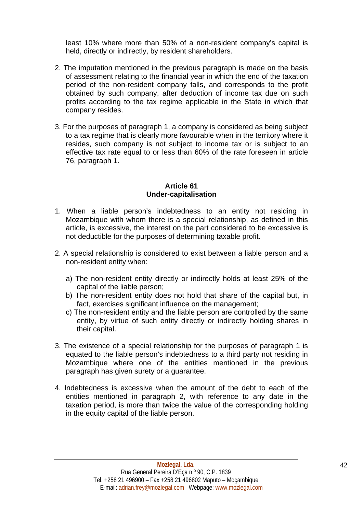least 10% where more than 50% of a non-resident company's capital is held, directly or indirectly, by resident shareholders.

- 2. The imputation mentioned in the previous paragraph is made on the basis of assessment relating to the financial year in which the end of the taxation period of the non-resident company falls, and corresponds to the profit obtained by such company, after deduction of income tax due on such profits according to the tax regime applicable in the State in which that company resides.
- 3. For the purposes of paragraph 1, a company is considered as being subject to a tax regime that is clearly more favourable when in the territory where it resides, such company is not subject to income tax or is subject to an effective tax rate equal to or less than 60% of the rate foreseen in article 76, paragraph 1.

#### **Article 61 Under-capitalisation**

- 1. When a liable person's indebtedness to an entity not residing in Mozambique with whom there is a special relationship, as defined in this article, is excessive, the interest on the part considered to be excessive is not deductible for the purposes of determining taxable profit.
- 2. A special relationship is considered to exist between a liable person and a non-resident entity when:
	- a) The non-resident entity directly or indirectly holds at least 25% of the capital of the liable person;
	- b) The non-resident entity does not hold that share of the capital but, in fact, exercises significant influence on the management;
	- c) The non-resident entity and the liable person are controlled by the same entity, by virtue of such entity directly or indirectly holding shares in their capital.
- 3. The existence of a special relationship for the purposes of paragraph 1 is equated to the liable person's indebtedness to a third party not residing in Mozambique where one of the entities mentioned in the previous paragraph has given surety or a guarantee.
- 4. Indebtedness is excessive when the amount of the debt to each of the entities mentioned in paragraph 2, with reference to any date in the taxation period, is more than twice the value of the corresponding holding in the equity capital of the liable person.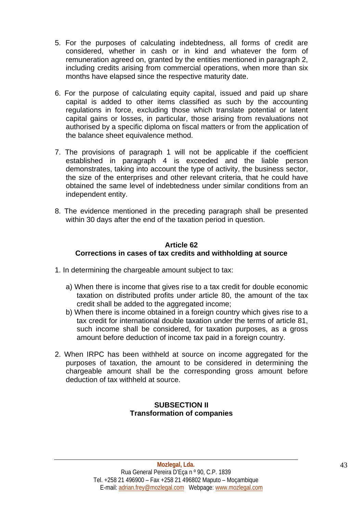- 5. For the purposes of calculating indebtedness, all forms of credit are considered, whether in cash or in kind and whatever the form of remuneration agreed on, granted by the entities mentioned in paragraph 2, including credits arising from commercial operations, when more than six months have elapsed since the respective maturity date.
- 6. For the purpose of calculating equity capital, issued and paid up share capital is added to other items classified as such by the accounting regulations in force, excluding those which translate potential or latent capital gains or losses, in particular, those arising from revaluations not authorised by a specific diploma on fiscal matters or from the application of the balance sheet equivalence method.
- 7. The provisions of paragraph 1 will not be applicable if the coefficient established in paragraph 4 is exceeded and the liable person demonstrates, taking into account the type of activity, the business sector, the size of the enterprises and other relevant criteria, that he could have obtained the same level of indebtedness under similar conditions from an independent entity.
- 8. The evidence mentioned in the preceding paragraph shall be presented within 30 days after the end of the taxation period in question.

# **Article 62 Corrections in cases of tax credits and withholding at source**

- 1. In determining the chargeable amount subject to tax:
	- a) When there is income that gives rise to a tax credit for double economic taxation on distributed profits under article 80, the amount of the tax credit shall be added to the aggregated income;
	- b) When there is income obtained in a foreign country which gives rise to a tax credit for international double taxation under the terms of article 81, such income shall be considered, for taxation purposes, as a gross amount before deduction of income tax paid in a foreign country.
- 2. When IRPC has been withheld at source on income aggregated for the purposes of taxation, the amount to be considered in determining the chargeable amount shall be the corresponding gross amount before deduction of tax withheld at source.

# **SUBSECTION II Transformation of companies**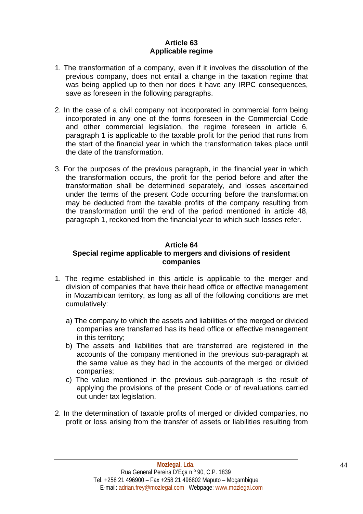# **Article 63 Applicable regime**

- 1. The transformation of a company, even if it involves the dissolution of the previous company, does not entail a change in the taxation regime that was being applied up to then nor does it have any IRPC consequences, save as foreseen in the following paragraphs.
- 2. In the case of a civil company not incorporated in commercial form being incorporated in any one of the forms foreseen in the Commercial Code and other commercial legislation, the regime foreseen in article 6, paragraph 1 is applicable to the taxable profit for the period that runs from the start of the financial year in which the transformation takes place until the date of the transformation.
- 3. For the purposes of the previous paragraph, in the financial year in which the transformation occurs, the profit for the period before and after the transformation shall be determined separately, and losses ascertained under the terms of the present Code occurring before the transformation may be deducted from the taxable profits of the company resulting from the transformation until the end of the period mentioned in article 48, paragraph 1, reckoned from the financial year to which such losses refer.

# **Article 64**

## **Special regime applicable to mergers and divisions of resident companies**

- 1. The regime established in this article is applicable to the merger and division of companies that have their head office or effective management in Mozambican territory, as long as all of the following conditions are met cumulatively:
	- a) The company to which the assets and liabilities of the merged or divided companies are transferred has its head office or effective management in this territory;
	- b) The assets and liabilities that are transferred are registered in the accounts of the company mentioned in the previous sub-paragraph at the same value as they had in the accounts of the merged or divided companies;
	- c) The value mentioned in the previous sub-paragraph is the result of applying the provisions of the present Code or of revaluations carried out under tax legislation.
- 2. In the determination of taxable profits of merged or divided companies, no profit or loss arising from the transfer of assets or liabilities resulting from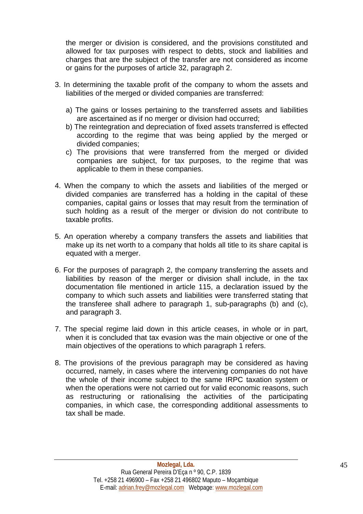the merger or division is considered, and the provisions constituted and allowed for tax purposes with respect to debts, stock and liabilities and charges that are the subject of the transfer are not considered as income or gains for the purposes of article 32, paragraph 2.

- 3. In determining the taxable profit of the company to whom the assets and liabilities of the merged or divided companies are transferred:
	- a) The gains or losses pertaining to the transferred assets and liabilities are ascertained as if no merger or division had occurred;
	- b) The reintegration and depreciation of fixed assets transferred is effected according to the regime that was being applied by the merged or divided companies;
	- c) The provisions that were transferred from the merged or divided companies are subject, for tax purposes, to the regime that was applicable to them in these companies.
- 4. When the company to which the assets and liabilities of the merged or divided companies are transferred has a holding in the capital of these companies, capital gains or losses that may result from the termination of such holding as a result of the merger or division do not contribute to taxable profits.
- 5. An operation whereby a company transfers the assets and liabilities that make up its net worth to a company that holds all title to its share capital is equated with a merger.
- 6. For the purposes of paragraph 2, the company transferring the assets and liabilities by reason of the merger or division shall include, in the tax documentation file mentioned in article 115, a declaration issued by the company to which such assets and liabilities were transferred stating that the transferee shall adhere to paragraph 1, sub-paragraphs (b) and (c), and paragraph 3.
- 7. The special regime laid down in this article ceases, in whole or in part, when it is concluded that tax evasion was the main objective or one of the main objectives of the operations to which paragraph 1 refers.
- 8. The provisions of the previous paragraph may be considered as having occurred, namely, in cases where the intervening companies do not have the whole of their income subject to the same IRPC taxation system or when the operations were not carried out for valid economic reasons, such as restructuring or rationalising the activities of the participating companies, in which case, the corresponding additional assessments to tax shall be made.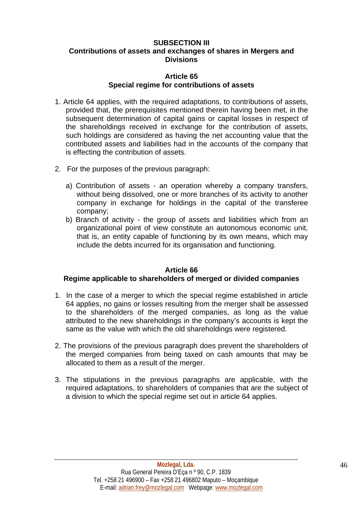# **SUBSECTION III Contributions of assets and exchanges of shares in Mergers and Divisions**

## **Article 65 Special regime for contributions of assets**

- 1. Article 64 applies, with the required adaptations, to contributions of assets, provided that, the prerequisites mentioned therein having been met, in the subsequent determination of capital gains or capital losses in respect of the shareholdings received in exchange for the contribution of assets, such holdings are considered as having the net accounting value that the contributed assets and liabilities had in the accounts of the company that is effecting the contribution of assets.
- 2. For the purposes of the previous paragraph:
	- a) Contribution of assets an operation whereby a company transfers, without being dissolved, one or more branches of its activity to another company in exchange for holdings in the capital of the transferee company;
	- b) Branch of activity the group of assets and liabilities which from an organizational point of view constitute an autonomous economic unit, that is, an entity capable of functioning by its own means, which may include the debts incurred for its organisation and functioning.

## **Article 66**

## **Regime applicable to shareholders of merged or divided companies**

- 1. In the case of a merger to which the special regime established in article 64 applies, no gains or losses resulting from the merger shall be assessed to the shareholders of the merged companies, as long as the value attributed to the new shareholdings in the company's accounts is kept the same as the value with which the old shareholdings were registered.
- 2. The provisions of the previous paragraph does prevent the shareholders of the merged companies from being taxed on cash amounts that may be allocated to them as a result of the merger.
- 3. The stipulations in the previous paragraphs are applicable, with the required adaptations, to shareholders of companies that are the subject of a division to which the special regime set out in article 64 applies.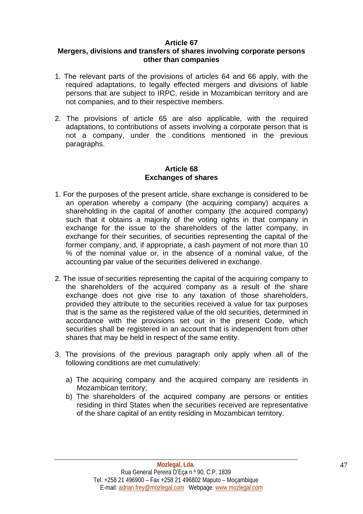# **Article 67**

# **Mergers, divisions and transfers of shares involving corporate persons other than companies**

- 1. The relevant parts of the provisions of articles 64 and 66 apply, with the required adaptations, to legally effected mergers and divisions of liable persons that are subject to IRPC, reside in Mozambican territory and are not companies, and to their respective members.
- 2. The provisions of article 65 are also applicable, with the required adaptations, to contributions of assets involving a corporate person that is not a company, under the conditions mentioned in the previous paragraphs.

# **Article 68 Exchanges of shares**

- 1. For the purposes of the present article, share exchange is considered to be an operation whereby a company (the acquiring company) acquires a shareholding in the capital of another company (the acquired company) such that it obtains a majority of the voting rights in that company in exchange for the issue to the shareholders of the latter company, in exchange for their securities, of securities representing the capital of the former company, and, if appropriate, a cash payment of not more than 10 % of the nominal value or, in the absence of a nominal value, of the accounting par value of the securities delivered in exchange.
- 2. The issue of securities representing the capital of the acquiring company to the shareholders of the acquired company as a result of the share exchange does not give rise to any taxation of those shareholders, provided they attribute to the securities received a value for tax purposes that is the same as the registered value of the old securities, determined in accordance with the provisions set out in the present Code, which securities shall be registered in an account that is independent from other shares that may be held in respect of the same entity.
- 3. The provisions of the previous paragraph only apply when all of the following conditions are met cumulatively:
	- a) The acquiring company and the acquired company are residents in Mozambican territory;
	- b) The shareholders of the acquired company are persons or entities residing in third States when the securities received are representative of the share capital of an entity residing in Mozambican territory.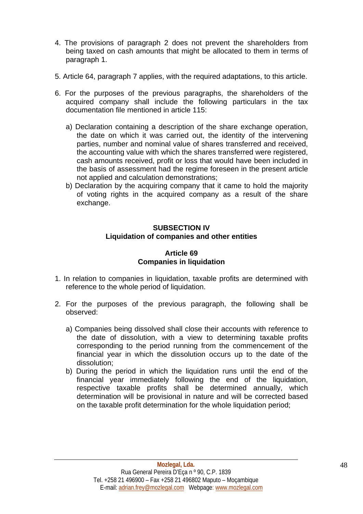- 4. The provisions of paragraph 2 does not prevent the shareholders from being taxed on cash amounts that might be allocated to them in terms of paragraph 1.
- 5. Article 64, paragraph 7 applies, with the required adaptations, to this article.
- 6. For the purposes of the previous paragraphs, the shareholders of the acquired company shall include the following particulars in the tax documentation file mentioned in article 115:
	- a) Declaration containing a description of the share exchange operation, the date on which it was carried out, the identity of the intervening parties, number and nominal value of shares transferred and received, the accounting value with which the shares transferred were registered, cash amounts received, profit or loss that would have been included in the basis of assessment had the regime foreseen in the present article not applied and calculation demonstrations;
	- b) Declaration by the acquiring company that it came to hold the majority of voting rights in the acquired company as a result of the share exchange.

# **SUBSECTION IV Liquidation of companies and other entities**

## **Article 69 Companies in liquidation**

- 1. In relation to companies in liquidation, taxable profits are determined with reference to the whole period of liquidation.
- 2. For the purposes of the previous paragraph, the following shall be observed:
	- a) Companies being dissolved shall close their accounts with reference to the date of dissolution, with a view to determining taxable profits corresponding to the period running from the commencement of the financial year in which the dissolution occurs up to the date of the dissolution;
	- b) During the period in which the liquidation runs until the end of the financial year immediately following the end of the liquidation, respective taxable profits shall be determined annually, which determination will be provisional in nature and will be corrected based on the taxable profit determination for the whole liquidation period;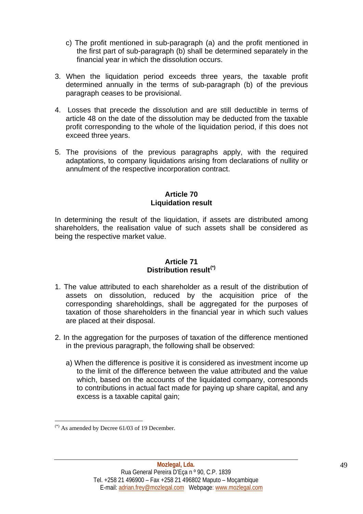- c) The profit mentioned in sub-paragraph (a) and the profit mentioned in the first part of sub-paragraph (b) shall be determined separately in the financial year in which the dissolution occurs.
- 3. When the liquidation period exceeds three years, the taxable profit determined annually in the terms of sub-paragraph (b) of the previous paragraph ceases to be provisional.
- 4. Losses that precede the dissolution and are still deductible in terms of article 48 on the date of the dissolution may be deducted from the taxable profit corresponding to the whole of the liquidation period, if this does not exceed three years.
- 5. The provisions of the previous paragraphs apply, with the required adaptations, to company liquidations arising from declarations of nullity or annulment of the respective incorporation contract.

## **Article 70 Liquidation result**

In determining the result of the liquidation, if assets are distributed among shareholders, the realisation value of such assets shall be considered as being the respective market value.

## **Article 71 Distribution result[\(\\*\)](#page-48-0)**

- 1. The value attributed to each shareholder as a result of the distribution of assets on dissolution, reduced by the acquisition price of the corresponding shareholdings, shall be aggregated for the purposes of taxation of those shareholders in the financial year in which such values are placed at their disposal.
- 2. In the aggregation for the purposes of taxation of the difference mentioned in the previous paragraph, the following shall be observed:
	- a) When the difference is positive it is considered as investment income up to the limit of the difference between the value attributed and the value which, based on the accounts of the liquidated company, corresponds to contributions in actual fact made for paying up share capital, and any excess is a taxable capital gain;

<span id="page-48-0"></span> $(*)$  As amended by Decree 61/03 of 19 December.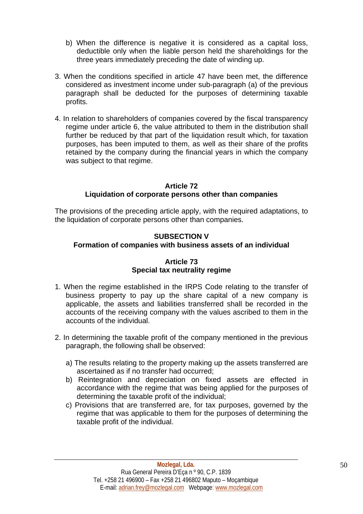- b) When the difference is negative it is considered as a capital loss, deductible only when the liable person held the shareholdings for the three years immediately preceding the date of winding up.
- 3. When the conditions specified in article 47 have been met, the difference considered as investment income under sub-paragraph (a) of the previous paragraph shall be deducted for the purposes of determining taxable profits.
- 4. In relation to shareholders of companies covered by the fiscal transparency regime under article 6, the value attributed to them in the distribution shall further be reduced by that part of the liquidation result which, for taxation purposes, has been imputed to them, as well as their share of the profits retained by the company during the financial years in which the company was subject to that regime.

# **Article 72 Liquidation of corporate persons other than companies**

The provisions of the preceding article apply, with the required adaptations, to the liquidation of corporate persons other than companies.

# **SUBSECTION V**

# **Formation of companies with business assets of an individual**

# **Article 73 Special tax neutrality regime**

- 1. When the regime established in the IRPS Code relating to the transfer of business property to pay up the share capital of a new company is applicable, the assets and liabilities transferred shall be recorded in the accounts of the receiving company with the values ascribed to them in the accounts of the individual.
- 2. In determining the taxable profit of the company mentioned in the previous paragraph, the following shall be observed:
	- a) The results relating to the property making up the assets transferred are ascertained as if no transfer had occurred;
	- b) Reintegration and depreciation on fixed assets are effected in accordance with the regime that was being applied for the purposes of determining the taxable profit of the individual;
	- c) Provisions that are transferred are, for tax purposes, governed by the regime that was applicable to them for the purposes of determining the taxable profit of the individual.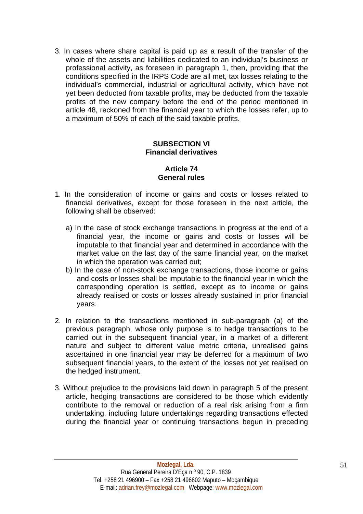3. In cases where share capital is paid up as a result of the transfer of the whole of the assets and liabilities dedicated to an individual's business or professional activity, as foreseen in paragraph 1, then, providing that the conditions specified in the IRPS Code are all met, tax losses relating to the individual's commercial, industrial or agricultural activity, which have not yet been deducted from taxable profits, may be deducted from the taxable profits of the new company before the end of the period mentioned in article 48, reckoned from the financial year to which the losses refer, up to a maximum of 50% of each of the said taxable profits.

#### **SUBSECTION VI Financial derivatives**

# **Article 74 General rules**

- 1. In the consideration of income or gains and costs or losses related to financial derivatives, except for those foreseen in the next article, the following shall be observed:
	- a) In the case of stock exchange transactions in progress at the end of a financial year, the income or gains and costs or losses will be imputable to that financial year and determined in accordance with the market value on the last day of the same financial year, on the market in which the operation was carried out;
	- b) In the case of non-stock exchange transactions, those income or gains and costs or losses shall be imputable to the financial year in which the corresponding operation is settled, except as to income or gains already realised or costs or losses already sustained in prior financial years.
- 2. In relation to the transactions mentioned in sub-paragraph (a) of the previous paragraph, whose only purpose is to hedge transactions to be carried out in the subsequent financial year, in a market of a different nature and subject to different value metric criteria, unrealised gains ascertained in one financial year may be deferred for a maximum of two subsequent financial years, to the extent of the losses not yet realised on the hedged instrument.
- 3. Without prejudice to the provisions laid down in paragraph 5 of the present article, hedging transactions are considered to be those which evidently contribute to the removal or reduction of a real risk arising from a firm undertaking, including future undertakings regarding transactions effected during the financial year or continuing transactions begun in preceding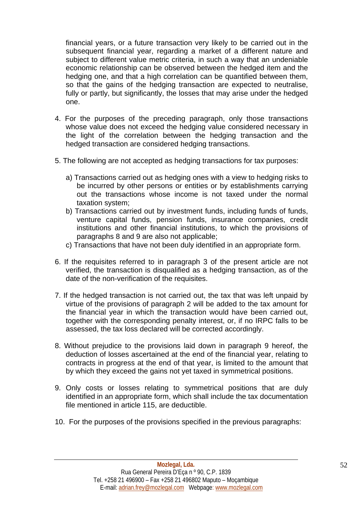financial years, or a future transaction very likely to be carried out in the subsequent financial year, regarding a market of a different nature and subject to different value metric criteria, in such a way that an undeniable economic relationship can be observed between the hedged item and the hedging one, and that a high correlation can be quantified between them, so that the gains of the hedging transaction are expected to neutralise, fully or partly, but significantly, the losses that may arise under the hedged one.

- 4. For the purposes of the preceding paragraph, only those transactions whose value does not exceed the hedging value considered necessary in the light of the correlation between the hedging transaction and the hedged transaction are considered hedging transactions.
- 5. The following are not accepted as hedging transactions for tax purposes:
	- a) Transactions carried out as hedging ones with a view to hedging risks to be incurred by other persons or entities or by establishments carrying out the transactions whose income is not taxed under the normal taxation system;
	- b) Transactions carried out by investment funds, including funds of funds, venture capital funds, pension funds, insurance companies, credit institutions and other financial institutions, to which the provisions of paragraphs 8 and 9 are also not applicable;
	- c) Transactions that have not been duly identified in an appropriate form.
- 6. If the requisites referred to in paragraph 3 of the present article are not verified, the transaction is disqualified as a hedging transaction, as of the date of the non-verification of the requisites.
- 7. If the hedged transaction is not carried out, the tax that was left unpaid by virtue of the provisions of paragraph 2 will be added to the tax amount for the financial year in which the transaction would have been carried out, together with the corresponding penalty interest, or, if no IRPC falls to be assessed, the tax loss declared will be corrected accordingly.
- 8. Without prejudice to the provisions laid down in paragraph 9 hereof, the deduction of losses ascertained at the end of the financial year, relating to contracts in progress at the end of that year, is limited to the amount that by which they exceed the gains not yet taxed in symmetrical positions.
- 9. Only costs or losses relating to symmetrical positions that are duly identified in an appropriate form, which shall include the tax documentation file mentioned in article 115, are deductible.
- 10. For the purposes of the provisions specified in the previous paragraphs: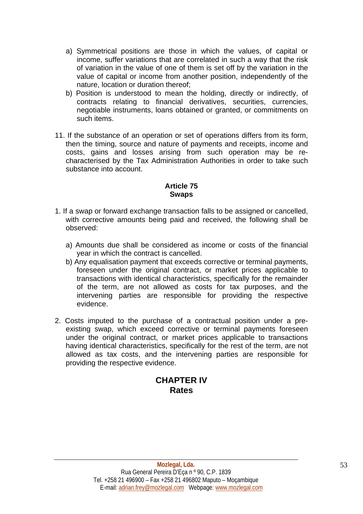- a) Symmetrical positions are those in which the values, of capital or income, suffer variations that are correlated in such a way that the risk of variation in the value of one of them is set off by the variation in the value of capital or income from another position, independently of the nature, location or duration thereof;
- b) Position is understood to mean the holding, directly or indirectly, of contracts relating to financial derivatives, securities, currencies, negotiable instruments, loans obtained or granted, or commitments on such items.
- 11. If the substance of an operation or set of operations differs from its form, then the timing, source and nature of payments and receipts, income and costs, gains and losses arising from such operation may be recharacterised by the Tax Administration Authorities in order to take such substance into account.

# **Article 75 Swaps**

- 1. If a swap or forward exchange transaction falls to be assigned or cancelled, with corrective amounts being paid and received, the following shall be observed:
	- a) Amounts due shall be considered as income or costs of the financial year in which the contract is cancelled.
	- b) Any equalisation payment that exceeds corrective or terminal payments, foreseen under the original contract, or market prices applicable to transactions with identical characteristics, specifically for the remainder of the term, are not allowed as costs for tax purposes, and the intervening parties are responsible for providing the respective evidence.
- 2. Costs imputed to the purchase of a contractual position under a preexisting swap, which exceed corrective or terminal payments foreseen under the original contract, or market prices applicable to transactions having identical characteristics, specifically for the rest of the term, are not allowed as tax costs, and the intervening parties are responsible for providing the respective evidence.

# **CHAPTER IV Rates**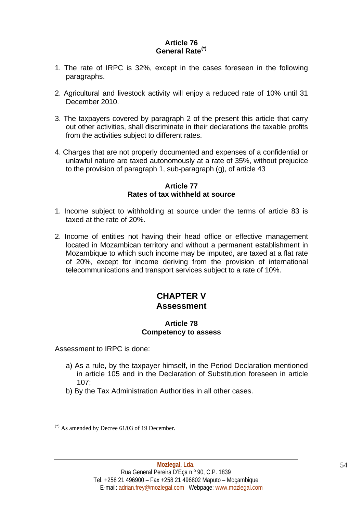# **Article 76 General Rate[\(\\*\)](#page-53-0)**

- 1. The rate of IRPC is 32%, except in the cases foreseen in the following paragraphs.
- 2. Agricultural and livestock activity will enjoy a reduced rate of 10% until 31 December 2010.
- 3. The taxpayers covered by paragraph 2 of the present this article that carry out other activities, shall discriminate in their declarations the taxable profits from the activities subject to different rates.
- 4. Charges that are not properly documented and expenses of a confidential or unlawful nature are taxed autonomously at a rate of 35%, without prejudice to the provision of paragraph 1, sub-paragraph (g), of article 43

#### **Article 77 Rates of tax withheld at source**

- 1. Income subject to withholding at source under the terms of article 83 is taxed at the rate of 20%.
- 2. Income of entities not having their head office or effective management located in Mozambican territory and without a permanent establishment in Mozambique to which such income may be imputed, are taxed at a flat rate of 20%, except for income deriving from the provision of international telecommunications and transport services subject to a rate of 10%.

# **CHAPTER V Assessment**

## **Article 78 Competency to assess**

Assessment to IRPC is done:

- a) As a rule, by the taxpayer himself, in the Period Declaration mentioned in article 105 and in the Declaration of Substitution foreseen in article 107;
- b) By the Tax Administration Authorities in all other cases.

<span id="page-53-0"></span> $(*)$  As amended by Decree 61/03 of 19 December.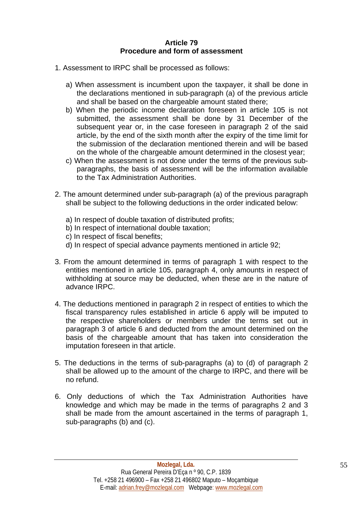### **Article 79 Procedure and form of assessment**

- 1. Assessment to IRPC shall be processed as follows:
	- a) When assessment is incumbent upon the taxpayer, it shall be done in the declarations mentioned in sub-paragraph (a) of the previous article and shall be based on the chargeable amount stated there;
	- b) When the periodic income declaration foreseen in article 105 is not submitted, the assessment shall be done by 31 December of the subsequent year or, in the case foreseen in paragraph 2 of the said article, by the end of the sixth month after the expiry of the time limit for the submission of the declaration mentioned therein and will be based on the whole of the chargeable amount determined in the closest year;
	- c) When the assessment is not done under the terms of the previous subparagraphs, the basis of assessment will be the information available to the Tax Administration Authorities.
- 2. The amount determined under sub-paragraph (a) of the previous paragraph shall be subject to the following deductions in the order indicated below:
	- a) In respect of double taxation of distributed profits;
	- b) In respect of international double taxation;
	- c) In respect of fiscal benefits;
	- d) In respect of special advance payments mentioned in article 92;
- 3. From the amount determined in terms of paragraph 1 with respect to the entities mentioned in article 105, paragraph 4, only amounts in respect of withholding at source may be deducted, when these are in the nature of advance IRPC.
- 4. The deductions mentioned in paragraph 2 in respect of entities to which the fiscal transparency rules established in article 6 apply will be imputed to the respective shareholders or members under the terms set out in paragraph 3 of article 6 and deducted from the amount determined on the basis of the chargeable amount that has taken into consideration the imputation foreseen in that article.
- 5. The deductions in the terms of sub-paragraphs (a) to (d) of paragraph 2 shall be allowed up to the amount of the charge to IRPC, and there will be no refund.
- 6. Only deductions of which the Tax Administration Authorities have knowledge and which may be made in the terms of paragraphs 2 and 3 shall be made from the amount ascertained in the terms of paragraph 1, sub-paragraphs (b) and (c).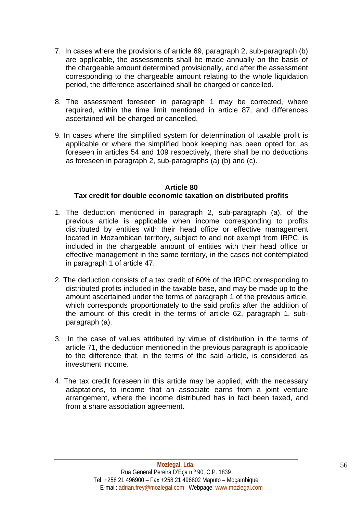- 7. In cases where the provisions of article 69, paragraph 2, sub-paragraph (b) are applicable, the assessments shall be made annually on the basis of the chargeable amount determined provisionally, and after the assessment corresponding to the chargeable amount relating to the whole liquidation period, the difference ascertained shall be charged or cancelled.
- 8. The assessment foreseen in paragraph 1 may be corrected, where required, within the time limit mentioned in article 87, and differences ascertained will be charged or cancelled.
- 9. In cases where the simplified system for determination of taxable profit is applicable or where the simplified book keeping has been opted for, as foreseen in articles 54 and 109 respectively, there shall be no deductions as foreseen in paragraph 2, sub-paragraphs (a) (b) and (c).

# **Article 80 Tax credit for double economic taxation on distributed profits**

- 1. The deduction mentioned in paragraph 2, sub-paragraph (a), of the previous article is applicable when income corresponding to profits distributed by entities with their head office or effective management located in Mozambican territory, subject to and not exempt from IRPC, is included in the chargeable amount of entities with their head office or effective management in the same territory, in the cases not contemplated in paragraph 1 of article 47.
- 2. The deduction consists of a tax credit of 60% of the IRPC corresponding to distributed profits included in the taxable base, and may be made up to the amount ascertained under the terms of paragraph 1 of the previous article, which corresponds proportionately to the said profits after the addition of the amount of this credit in the terms of article 62, paragraph 1, subparagraph (a).
- 3. In the case of values attributed by virtue of distribution in the terms of article 71, the deduction mentioned in the previous paragraph is applicable to the difference that, in the terms of the said article, is considered as investment income.
- 4. The tax credit foreseen in this article may be applied, with the necessary adaptations, to income that an associate earns from a joint venture arrangement, where the income distributed has in fact been taxed, and from a share association agreement.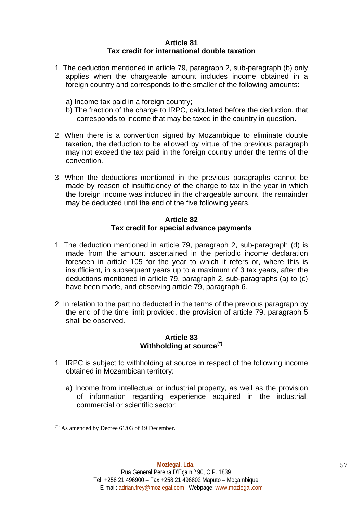### **Article 81 Tax credit for international double taxation**

- 1. The deduction mentioned in article 79, paragraph 2, sub-paragraph (b) only applies when the chargeable amount includes income obtained in a foreign country and corresponds to the smaller of the following amounts:
	- a) Income tax paid in a foreign country;
	- b) The fraction of the charge to IRPC, calculated before the deduction, that corresponds to income that may be taxed in the country in question.
- 2. When there is a convention signed by Mozambique to eliminate double taxation, the deduction to be allowed by virtue of the previous paragraph may not exceed the tax paid in the foreign country under the terms of the convention.
- 3. When the deductions mentioned in the previous paragraphs cannot be made by reason of insufficiency of the charge to tax in the year in which the foreign income was included in the chargeable amount, the remainder may be deducted until the end of the five following years.

# **Article 82 Tax credit for special advance payments**

- 1. The deduction mentioned in article 79, paragraph 2, sub-paragraph (d) is made from the amount ascertained in the periodic income declaration foreseen in article 105 for the year to which it refers or, where this is insufficient, in subsequent years up to a maximum of 3 tax years, after the deductions mentioned in article 79, paragraph 2, sub-paragraphs (a) to (c) have been made, and observing article 79, paragraph 6.
- 2. In relation to the part no deducted in the terms of the previous paragraph by the end of the time limit provided, the provision of article 79, paragraph 5 shall be observed.

#### **Article 83 Withholding at source[\(\\*\)](#page-56-0)**

- 1. IRPC is subject to withholding at source in respect of the following income obtained in Mozambican territory:
	- a) Income from intellectual or industrial property, as well as the provision of information regarding experience acquired in the industrial, commercial or scientific sector;

<span id="page-56-0"></span> $(*)$  As amended by Decree 61/03 of 19 December.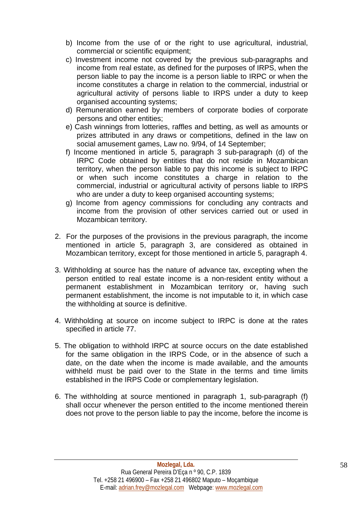- b) Income from the use of or the right to use agricultural, industrial, commercial or scientific equipment;
- c) Investment income not covered by the previous sub-paragraphs and income from real estate, as defined for the purposes of IRPS, when the person liable to pay the income is a person liable to IRPC or when the income constitutes a charge in relation to the commercial, industrial or agricultural activity of persons liable to IRPS under a duty to keep organised accounting systems;
- d) Remuneration earned by members of corporate bodies of corporate persons and other entities;
- e) Cash winnings from lotteries, raffles and betting, as well as amounts or prizes attributed in any draws or competitions, defined in the law on social amusement games, Law no. 9/94, of 14 September;
- f) Income mentioned in article 5, paragraph 3 sub-paragraph (d) of the IRPC Code obtained by entities that do not reside in Mozambican territory, when the person liable to pay this income is subject to IRPC or when such income constitutes a charge in relation to the commercial, industrial or agricultural activity of persons liable to IRPS who are under a duty to keep organised accounting systems;
- g) Income from agency commissions for concluding any contracts and income from the provision of other services carried out or used in Mozambican territory.
- 2. For the purposes of the provisions in the previous paragraph, the income mentioned in article 5, paragraph 3, are considered as obtained in Mozambican territory, except for those mentioned in article 5, paragraph 4.
- 3. Withholding at source has the nature of advance tax, excepting when the person entitled to real estate income is a non-resident entity without a permanent establishment in Mozambican territory or, having such permanent establishment, the income is not imputable to it, in which case the withholding at source is definitive.
- 4. Withholding at source on income subject to IRPC is done at the rates specified in article 77.
- 5. The obligation to withhold IRPC at source occurs on the date established for the same obligation in the IRPS Code, or in the absence of such a date, on the date when the income is made available, and the amounts withheld must be paid over to the State in the terms and time limits established in the IRPS Code or complementary legislation.
- 6. The withholding at source mentioned in paragraph 1, sub-paragraph (f) shall occur whenever the person entitled to the income mentioned therein does not prove to the person liable to pay the income, before the income is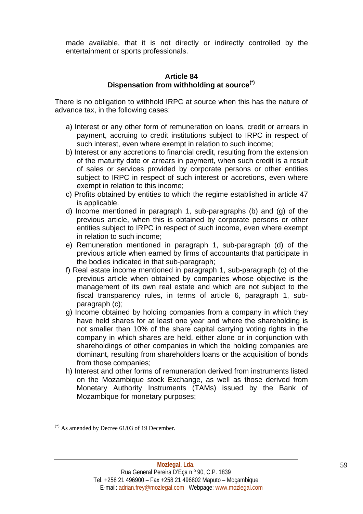made available, that it is not directly or indirectly controlled by the entertainment or sports professionals.

#### **Article 84 Dispensation from withholding at source[\(\\*\)](#page-58-0)**

There is no obligation to withhold IRPC at source when this has the nature of advance tax, in the following cases:

- a) Interest or any other form of remuneration on loans, credit or arrears in payment, accruing to credit institutions subject to IRPC in respect of such interest, even where exempt in relation to such income;
- b) Interest or any accretions to financial credit, resulting from the extension of the maturity date or arrears in payment, when such credit is a result of sales or services provided by corporate persons or other entities subject to IRPC in respect of such interest or accretions, even where exempt in relation to this income;
- c) Profits obtained by entities to which the regime established in article 47 is applicable.
- d) Income mentioned in paragraph 1, sub-paragraphs (b) and (g) of the previous article, when this is obtained by corporate persons or other entities subject to IRPC in respect of such income, even where exempt in relation to such income;
- e) Remuneration mentioned in paragraph 1, sub-paragraph (d) of the previous article when earned by firms of accountants that participate in the bodies indicated in that sub-paragraph;
- f) Real estate income mentioned in paragraph 1, sub-paragraph (c) of the previous article when obtained by companies whose objective is the management of its own real estate and which are not subject to the fiscal transparency rules, in terms of article 6, paragraph 1, subparagraph (c);
- g) Income obtained by holding companies from a company in which they have held shares for at least one year and where the shareholding is not smaller than 10% of the share capital carrying voting rights in the company in which shares are held, either alone or in conjunction with shareholdings of other companies in which the holding companies are dominant, resulting from shareholders loans or the acquisition of bonds from those companies;
- h) Interest and other forms of remuneration derived from instruments listed on the Mozambique stock Exchange, as well as those derived from Monetary Authority Instruments (TAMs) issued by the Bank of Mozambique for monetary purposes;

<span id="page-58-0"></span> $(*)$  As amended by Decree 61/03 of 19 December.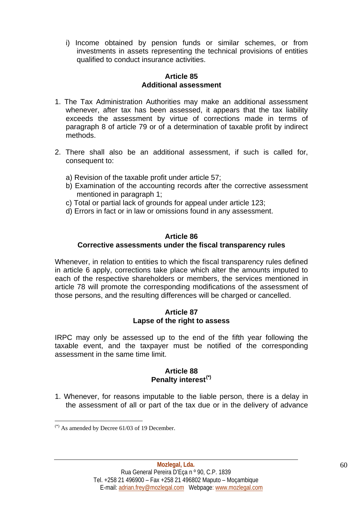i) Income obtained by pension funds or similar schemes, or from investments in assets representing the technical provisions of entities qualified to conduct insurance activities.

### **Article 85 Additional assessment**

- 1. The Tax Administration Authorities may make an additional assessment whenever, after tax has been assessed, it appears that the tax liability exceeds the assessment by virtue of corrections made in terms of paragraph 8 of article 79 or of a determination of taxable profit by indirect methods.
- 2. There shall also be an additional assessment, if such is called for, consequent to:
	- a) Revision of the taxable profit under article 57;
	- b) Examination of the accounting records after the corrective assessment mentioned in paragraph 1;
	- c) Total or partial lack of grounds for appeal under article 123;
	- d) Errors in fact or in law or omissions found in any assessment.

## **Article 86**

#### **Corrective assessments under the fiscal transparency rules**

Whenever, in relation to entities to which the fiscal transparency rules defined in article 6 apply, corrections take place which alter the amounts imputed to each of the respective shareholders or members, the services mentioned in article 78 will promote the corresponding modifications of the assessment of those persons, and the resulting differences will be charged or cancelled.

#### **Article 87 Lapse of the right to assess**

IRPC may only be assessed up to the end of the fifth year following the taxable event, and the taxpayer must be notified of the corresponding assessment in the same time limit.

#### **Article 88 Penalty interest[\(\\*\)](#page-59-0)**

1. Whenever, for reasons imputable to the liable person, there is a delay in the assessment of all or part of the tax due or in the delivery of advance

<span id="page-59-0"></span> $(*)$  As amended by Decree 61/03 of 19 December.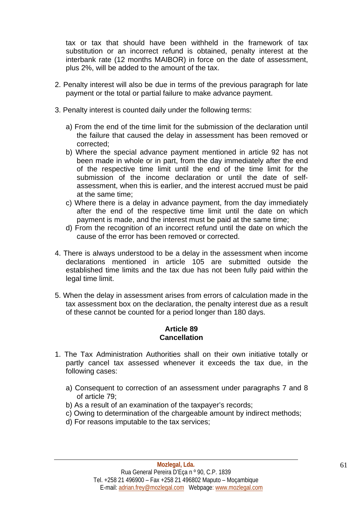tax or tax that should have been withheld in the framework of tax substitution or an incorrect refund is obtained, penalty interest at the interbank rate (12 months MAIBOR) in force on the date of assessment, plus 2%, will be added to the amount of the tax.

- 2. Penalty interest will also be due in terms of the previous paragraph for late payment or the total or partial failure to make advance payment.
- 3. Penalty interest is counted daily under the following terms:
	- a) From the end of the time limit for the submission of the declaration until the failure that caused the delay in assessment has been removed or corrected;
	- b) Where the special advance payment mentioned in article 92 has not been made in whole or in part, from the day immediately after the end of the respective time limit until the end of the time limit for the submission of the income declaration or until the date of selfassessment, when this is earlier, and the interest accrued must be paid at the same time;
	- c) Where there is a delay in advance payment, from the day immediately after the end of the respective time limit until the date on which payment is made, and the interest must be paid at the same time;
	- d) From the recognition of an incorrect refund until the date on which the cause of the error has been removed or corrected.
- 4. There is always understood to be a delay in the assessment when income declarations mentioned in article 105 are submitted outside the established time limits and the tax due has not been fully paid within the legal time limit.
- 5. When the delay in assessment arises from errors of calculation made in the tax assessment box on the declaration, the penalty interest due as a result of these cannot be counted for a period longer than 180 days.

## **Article 89 Cancellation**

- 1. The Tax Administration Authorities shall on their own initiative totally or partly cancel tax assessed whenever it exceeds the tax due, in the following cases:
	- a) Consequent to correction of an assessment under paragraphs 7 and 8 of article 79;
	- b) As a result of an examination of the taxpayer's records;
	- c) Owing to determination of the chargeable amount by indirect methods;
	- d) For reasons imputable to the tax services;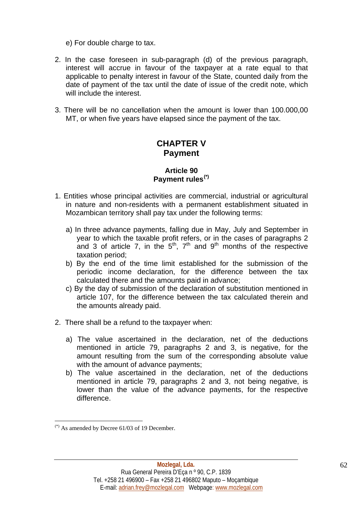e) For double charge to tax.

- 2. In the case foreseen in sub-paragraph (d) of the previous paragraph, interest will accrue in favour of the taxpayer at a rate equal to that applicable to penalty interest in favour of the State, counted daily from the date of payment of the tax until the date of issue of the credit note, which will include the interest.
- 3. There will be no cancellation when the amount is lower than 100.000,00 MT, or when five years have elapsed since the payment of the tax.

# **CHAPTER V Payment**

## **Article 90 Payment rules[\(\\*\)](#page-61-0)**

- 1. Entities whose principal activities are commercial, industrial or agricultural in nature and non-residents with a permanent establishment situated in Mozambican territory shall pay tax under the following terms:
	- a) In three advance payments, falling due in May, July and September in year to which the taxable profit refers, or in the cases of paragraphs 2 and 3 of article 7, in the  $5<sup>th</sup>$ ,  $7<sup>th</sup>$  and  $9<sup>th</sup>$  months of the respective taxation period;
	- b) By the end of the time limit established for the submission of the periodic income declaration, for the difference between the tax calculated there and the amounts paid in advance;
	- c) By the day of submission of the declaration of substitution mentioned in article 107, for the difference between the tax calculated therein and the amounts already paid.
- 2. There shall be a refund to the taxpayer when:
	- a) The value ascertained in the declaration, net of the deductions mentioned in article 79, paragraphs 2 and 3, is negative, for the amount resulting from the sum of the corresponding absolute value with the amount of advance payments:
	- b) The value ascertained in the declaration, net of the deductions mentioned in article 79, paragraphs 2 and 3, not being negative, is lower than the value of the advance payments, for the respective difference.

<span id="page-61-0"></span> $(*)$  As amended by Decree 61/03 of 19 December.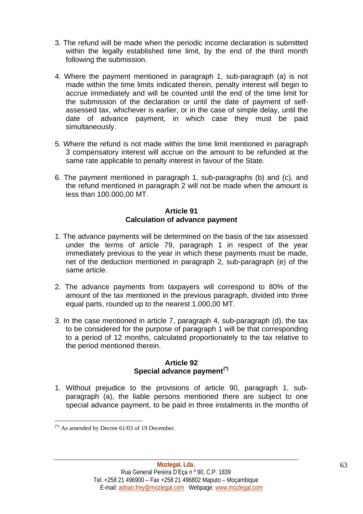- 3. The refund will be made when the periodic income declaration is submitted within the legally established time limit, by the end of the third month following the submission.
- 4. Where the payment mentioned in paragraph 1, sub-paragraph (a) is not made within the time limits indicated therein, penalty interest will begin to accrue immediately and will be counted until the end of the time limit for the submission of the declaration or until the date of payment of selfassessed tax, whichever is earlier, or in the case of simple delay, until the date of advance payment, in which case they must be paid simultaneously.
- 5. Where the refund is not made within the time limit mentioned in paragraph 3 compensatory interest will accrue on the amount to be refunded at the same rate applicable to penalty interest in favour of the State.
- 6. The payment mentioned in paragraph 1, sub-paragraphs (b) and (c), and the refund mentioned in paragraph 2 will not be made when the amount is less than 100.000,00 MT.

#### **Article 91 Calculation of advance payment**

- 1. The advance payments will be determined on the basis of the tax assessed under the terms of article 79, paragraph 1 in respect of the year immediately previous to the year in which these payments must be made, net of the deduction mentioned in paragraph 2, sub-paragraph (e) of the same article.
- 2. The advance payments from taxpayers will correspond to 80% of the amount of the tax mentioned in the previous paragraph, divided into three equal parts, rounded up to the nearest 1.000,00 MT.
- 3. In the case mentioned in article 7, paragraph 4, sub-paragraph (d), the tax to be considered for the purpose of paragraph 1 will be that corresponding to a period of 12 months, calculated proportionately to the tax relative to the period mentioned therein.

# **Article 92 Special advance payment[\(\\*\)](#page-62-0)**

1. Without prejudice to the provisions of article 90, paragraph 1, subparagraph (a), the liable persons mentioned there are subject to one special advance payment, to be paid in three instalments in the months of

<span id="page-62-0"></span> $(*)$  As amended by Decree 61/03 of 19 December.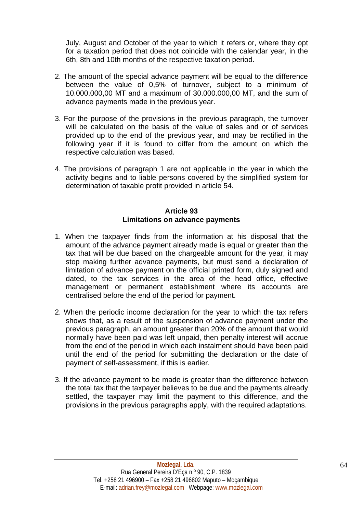July, August and October of the year to which it refers or, where they opt for a taxation period that does not coincide with the calendar year, in the 6th, 8th and 10th months of the respective taxation period.

- 2. The amount of the special advance payment will be equal to the difference between the value of 0,5% of turnover, subject to a minimum of 10.000.000,00 MT and a maximum of 30.000.000,00 MT, and the sum of advance payments made in the previous year.
- 3. For the purpose of the provisions in the previous paragraph, the turnover will be calculated on the basis of the value of sales and or of services provided up to the end of the previous year, and may be rectified in the following year if it is found to differ from the amount on which the respective calculation was based.
- 4. The provisions of paragraph 1 are not applicable in the year in which the activity begins and to liable persons covered by the simplified system for determination of taxable profit provided in article 54.

### **Article 93 Limitations on advance payments**

- 1. When the taxpayer finds from the information at his disposal that the amount of the advance payment already made is equal or greater than the tax that will be due based on the chargeable amount for the year, it may stop making further advance payments, but must send a declaration of limitation of advance payment on the official printed form, duly signed and dated, to the tax services in the area of the head office, effective management or permanent establishment where its accounts are centralised before the end of the period for payment.
- 2. When the periodic income declaration for the year to which the tax refers shows that, as a result of the suspension of advance payment under the previous paragraph, an amount greater than 20% of the amount that would normally have been paid was left unpaid, then penalty interest will accrue from the end of the period in which each instalment should have been paid until the end of the period for submitting the declaration or the date of payment of self-assessment, if this is earlier.
- 3. If the advance payment to be made is greater than the difference between the total tax that the taxpayer believes to be due and the payments already settled, the taxpayer may limit the payment to this difference, and the provisions in the previous paragraphs apply, with the required adaptations.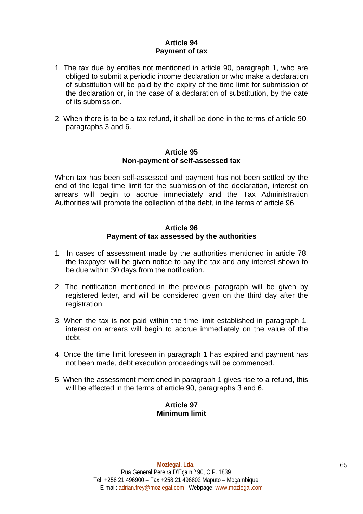# **Article 94 Payment of tax**

- 1. The tax due by entities not mentioned in article 90, paragraph 1, who are obliged to submit a periodic income declaration or who make a declaration of substitution will be paid by the expiry of the time limit for submission of the declaration or, in the case of a declaration of substitution, by the date of its submission.
- 2. When there is to be a tax refund, it shall be done in the terms of article 90, paragraphs 3 and 6.

#### **Article 95 Non-payment of self-assessed tax**

When tax has been self-assessed and payment has not been settled by the end of the legal time limit for the submission of the declaration, interest on arrears will begin to accrue immediately and the Tax Administration Authorities will promote the collection of the debt, in the terms of article 96.

### **Article 96 Payment of tax assessed by the authorities**

- 1. In cases of assessment made by the authorities mentioned in article 78, the taxpayer will be given notice to pay the tax and any interest shown to be due within 30 days from the notification.
- 2. The notification mentioned in the previous paragraph will be given by registered letter, and will be considered given on the third day after the registration.
- 3. When the tax is not paid within the time limit established in paragraph 1, interest on arrears will begin to accrue immediately on the value of the debt.
- 4. Once the time limit foreseen in paragraph 1 has expired and payment has not been made, debt execution proceedings will be commenced.
- 5. When the assessment mentioned in paragraph 1 gives rise to a refund, this will be effected in the terms of article 90, paragraphs 3 and 6.

## **Article 97 Minimum limit**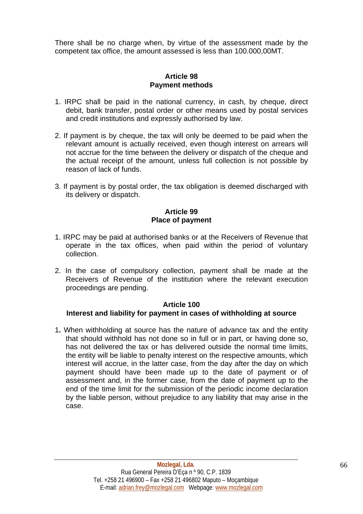There shall be no charge when, by virtue of the assessment made by the competent tax office, the amount assessed is less than 100.000,00MT.

## **Article 98 Payment methods**

- 1. IRPC shall be paid in the national currency, in cash, by cheque, direct debit, bank transfer, postal order or other means used by postal services and credit institutions and expressly authorised by law.
- 2. If payment is by cheque, the tax will only be deemed to be paid when the relevant amount is actually received, even though interest on arrears will not accrue for the time between the delivery or dispatch of the cheque and the actual receipt of the amount, unless full collection is not possible by reason of lack of funds.
- 3. If payment is by postal order, the tax obligation is deemed discharged with its delivery or dispatch.

### **Article 99 Place of payment**

- 1. IRPC may be paid at authorised banks or at the Receivers of Revenue that operate in the tax offices, when paid within the period of voluntary collection.
- 2. In the case of compulsory collection, payment shall be made at the Receivers of Revenue of the institution where the relevant execution proceedings are pending.

# **Article 100**

# **Interest and liability for payment in cases of withholding at source**

1**.** When withholding at source has the nature of advance tax and the entity that should withhold has not done so in full or in part, or having done so, has not delivered the tax or has delivered outside the normal time limits, the entity will be liable to penalty interest on the respective amounts, which interest will accrue, in the latter case, from the day after the day on which payment should have been made up to the date of payment or of assessment and, in the former case, from the date of payment up to the end of the time limit for the submission of the periodic income declaration by the liable person, without prejudice to any liability that may arise in the case.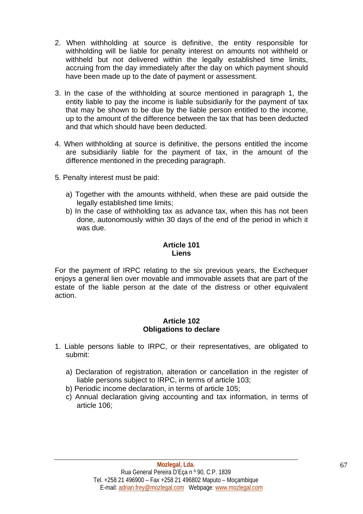- 2. When withholding at source is definitive, the entity responsible for withholding will be liable for penalty interest on amounts not withheld or withheld but not delivered within the legally established time limits, accruing from the day immediately after the day on which payment should have been made up to the date of payment or assessment.
- 3. In the case of the withholding at source mentioned in paragraph 1, the entity liable to pay the income is liable subsidiarily for the payment of tax that may be shown to be due by the liable person entitled to the income, up to the amount of the difference between the tax that has been deducted and that which should have been deducted.
- 4. When withholding at source is definitive, the persons entitled the income are subsidiarily liable for the payment of tax, in the amount of the difference mentioned in the preceding paragraph.
- 5. Penalty interest must be paid:
	- a) Together with the amounts withheld, when these are paid outside the legally established time limits;
	- b) In the case of withholding tax as advance tax, when this has not been done, autonomously within 30 days of the end of the period in which it was due.

#### **Article 101 Liens**

For the payment of IRPC relating to the six previous years, the Exchequer enjoys a general lien over movable and immovable assets that are part of the estate of the liable person at the date of the distress or other equivalent action.

## **Article 102 Obligations to declare**

- 1. Liable persons liable to IRPC, or their representatives, are obligated to submit:
	- a) Declaration of registration, alteration or cancellation in the register of liable persons subject to IRPC, in terms of article 103;
	- b) Periodic income declaration, in terms of article 105;
	- c) Annual declaration giving accounting and tax information, in terms of article 106;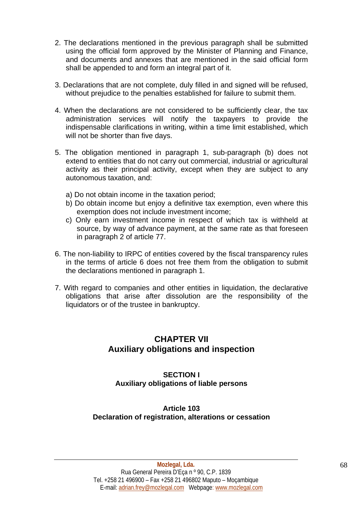- 2. The declarations mentioned in the previous paragraph shall be submitted using the official form approved by the Minister of Planning and Finance, and documents and annexes that are mentioned in the said official form shall be appended to and form an integral part of it.
- 3. Declarations that are not complete, duly filled in and signed will be refused, without prejudice to the penalties established for failure to submit them.
- 4. When the declarations are not considered to be sufficiently clear, the tax administration services will notify the taxpayers to provide the indispensable clarifications in writing, within a time limit established, which will not be shorter than five days.
- 5. The obligation mentioned in paragraph 1, sub-paragraph (b) does not extend to entities that do not carry out commercial, industrial or agricultural activity as their principal activity, except when they are subject to any autonomous taxation, and:
	- a) Do not obtain income in the taxation period;
	- b) Do obtain income but enjoy a definitive tax exemption, even where this exemption does not include investment income;
	- c) Only earn investment income in respect of which tax is withheld at source, by way of advance payment, at the same rate as that foreseen in paragraph 2 of article 77.
- 6. The non-liability to IRPC of entities covered by the fiscal transparency rules in the terms of article 6 does not free them from the obligation to submit the declarations mentioned in paragraph 1.
- 7. With regard to companies and other entities in liquidation, the declarative obligations that arise after dissolution are the responsibility of the liquidators or of the trustee in bankruptcy.

# **CHAPTER VII Auxiliary obligations and inspection**

# **SECTION I Auxiliary obligations of liable persons**

# **Article 103 Declaration of registration, alterations or cessation**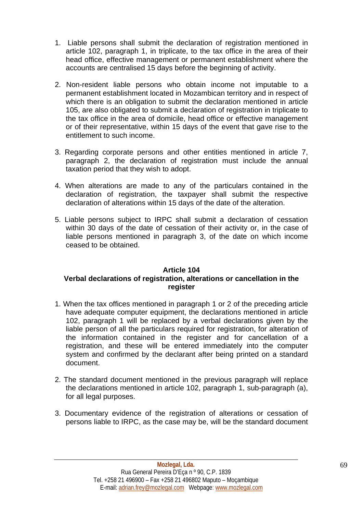- 1. Liable persons shall submit the declaration of registration mentioned in article 102, paragraph 1, in triplicate, to the tax office in the area of their head office, effective management or permanent establishment where the accounts are centralised 15 days before the beginning of activity.
- 2. Non-resident liable persons who obtain income not imputable to a permanent establishment located in Mozambican territory and in respect of which there is an obligation to submit the declaration mentioned in article 105, are also obligated to submit a declaration of registration in triplicate to the tax office in the area of domicile, head office or effective management or of their representative, within 15 days of the event that gave rise to the entitlement to such income.
- 3. Regarding corporate persons and other entities mentioned in article 7, paragraph 2, the declaration of registration must include the annual taxation period that they wish to adopt.
- 4. When alterations are made to any of the particulars contained in the declaration of registration, the taxpayer shall submit the respective declaration of alterations within 15 days of the date of the alteration.
- 5. Liable persons subject to IRPC shall submit a declaration of cessation within 30 days of the date of cessation of their activity or, in the case of liable persons mentioned in paragraph 3, of the date on which income ceased to be obtained.

## **Article 104**

# **Verbal declarations of registration, alterations or cancellation in the register**

- 1. When the tax offices mentioned in paragraph 1 or 2 of the preceding article have adequate computer equipment, the declarations mentioned in article 102, paragraph 1 will be replaced by a verbal declarations given by the liable person of all the particulars required for registration, for alteration of the information contained in the register and for cancellation of a registration, and these will be entered immediately into the computer system and confirmed by the declarant after being printed on a standard document.
- 2. The standard document mentioned in the previous paragraph will replace the declarations mentioned in article 102, paragraph 1, sub-paragraph (a), for all legal purposes.
- 3. Documentary evidence of the registration of alterations or cessation of persons liable to IRPC, as the case may be, will be the standard document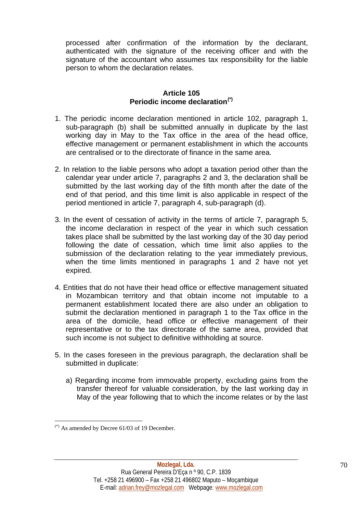processed after confirmation of the information by the declarant, authenticated with the signature of the receiving officer and with the signature of the accountant who assumes tax responsibility for the liable person to whom the declaration relates.

## **Article 105 Periodic income declaration[\(\\*\)](#page-69-0)**

- 1. The periodic income declaration mentioned in article 102, paragraph 1, sub-paragraph (b) shall be submitted annually in duplicate by the last working day in May to the Tax office in the area of the head office, effective management or permanent establishment in which the accounts are centralised or to the directorate of finance in the same area.
- 2. In relation to the liable persons who adopt a taxation period other than the calendar year under article 7, paragraphs 2 and 3, the declaration shall be submitted by the last working day of the fifth month after the date of the end of that period, and this time limit is also applicable in respect of the period mentioned in article 7, paragraph 4, sub-paragraph (d).
- 3. In the event of cessation of activity in the terms of article 7, paragraph 5, the income declaration in respect of the year in which such cessation takes place shall be submitted by the last working day of the 30 day period following the date of cessation, which time limit also applies to the submission of the declaration relating to the year immediately previous, when the time limits mentioned in paragraphs 1 and 2 have not yet expired.
- 4. Entities that do not have their head office or effective management situated in Mozambican territory and that obtain income not imputable to a permanent establishment located there are also under an obligation to submit the declaration mentioned in paragraph 1 to the Tax office in the area of the domicile, head office or effective management of their representative or to the tax directorate of the same area, provided that such income is not subject to definitive withholding at source.
- 5. In the cases foreseen in the previous paragraph, the declaration shall be submitted in duplicate:
	- a) Regarding income from immovable property, excluding gains from the transfer thereof for valuable consideration, by the last working day in May of the year following that to which the income relates or by the last

<span id="page-69-0"></span> $(*)$  As amended by Decree 61/03 of 19 December.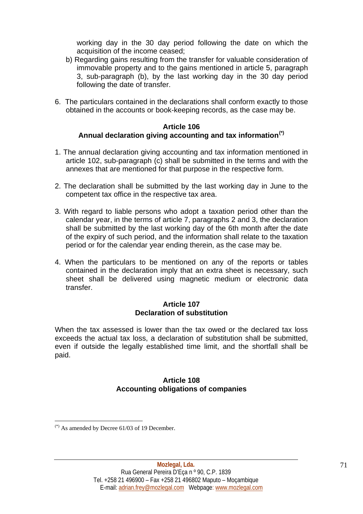working day in the 30 day period following the date on which the acquisition of the income ceased;

- b) Regarding gains resulting from the transfer for valuable consideration of immovable property and to the gains mentioned in article 5, paragraph 3, sub-paragraph (b), by the last working day in the 30 day period following the date of transfer.
- 6. The particulars contained in the declarations shall conform exactly to those obtained in the accounts or book-keeping records, as the case may be.

#### **Article 106 Annual declaration giving accounting and tax information[\(\\*\)](#page-70-0)**

- 1. The annual declaration giving accounting and tax information mentioned in article 102, sub-paragraph (c) shall be submitted in the terms and with the annexes that are mentioned for that purpose in the respective form.
- 2. The declaration shall be submitted by the last working day in June to the competent tax office in the respective tax area.
- 3. With regard to liable persons who adopt a taxation period other than the calendar year, in the terms of article 7, paragraphs 2 and 3, the declaration shall be submitted by the last working day of the 6th month after the date of the expiry of such period, and the information shall relate to the taxation period or for the calendar year ending therein, as the case may be.
- 4. When the particulars to be mentioned on any of the reports or tables contained in the declaration imply that an extra sheet is necessary, such sheet shall be delivered using magnetic medium or electronic data transfer.

#### **Article 107 Declaration of substitution**

When the tax assessed is lower than the tax owed or the declared tax loss exceeds the actual tax loss, a declaration of substitution shall be submitted, even if outside the legally established time limit, and the shortfall shall be paid.

# **Article 108 Accounting obligations of companies**

<span id="page-70-0"></span> $(*)$  As amended by Decree 61/03 of 19 December.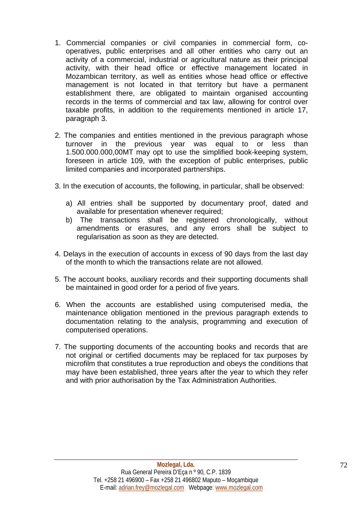- 1. Commercial companies or civil companies in commercial form, cooperatives, public enterprises and all other entities who carry out an activity of a commercial, industrial or agricultural nature as their principal activity, with their head office or effective management located in Mozambican territory, as well as entities whose head office or effective management is not located in that territory but have a permanent establishment there, are obligated to maintain organised accounting records in the terms of commercial and tax law, allowing for control over taxable profits, in addition to the requirements mentioned in article 17, paragraph 3.
- 2. The companies and entities mentioned in the previous paragraph whose turnover in the previous year was equal to or less than 1.500.000.000,00MT may opt to use the simplified book-keeping system, foreseen in article 109, with the exception of public enterprises, public limited companies and incorporated partnerships.
- 3. In the execution of accounts, the following, in particular, shall be observed:
	- a) All entries shall be supported by documentary proof, dated and available for presentation whenever required;
	- b) The transactions shall be registered chronologically, without amendments or erasures, and any errors shall be subject to regularisation as soon as they are detected.
- 4. Delays in the execution of accounts in excess of 90 days from the last day of the month to which the transactions relate are not allowed.
- 5. The account books, auxiliary records and their supporting documents shall be maintained in good order for a period of five years.
- 6. When the accounts are established using computerised media, the maintenance obligation mentioned in the previous paragraph extends to documentation relating to the analysis, programming and execution of computerised operations.
- 7. The supporting documents of the accounting books and records that are not original or certified documents may be replaced for tax purposes by microfilm that constitutes a true reproduction and obeys the conditions that may have been established, three years after the year to which they refer and with prior authorisation by the Tax Administration Authorities.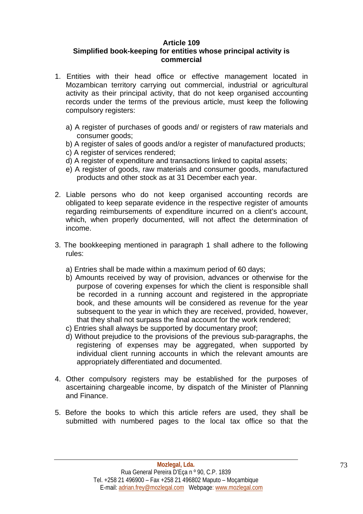## **Article 109**

## <span id="page-72-0"></span>**Simplified book-keeping for entities whose principal activity is commercial**

- 1. Entities with their head office or effective management located in Mozambican territory carrying out commercial, industrial or agricultural activity as their principal activity, that do not keep organised accounting records under the terms of the previous article, must keep the following compulsory registers:
	- a) A register of purchases of goods and/ or registers of raw materials and consumer goods;
	- b) A register of sales of goods and/or a register of manufactured products;
	- c) A register of services rendered;
	- d) A register of expenditure and transactions linked to capital assets;
	- e) A register of goods, raw materials and consumer goods, manufactured products and other stock as at 31 December each year.
- 2. Liable persons who do not keep organised accounting records are obligated to keep separate evidence in the respective register of amounts regarding reimbursements of expenditure incurred on a client's account, which, when properly documented, will not affect the determination of income.
- 3. The bookkeeping mentioned in paragraph 1 shall adhere to the following rules:
	- a) Entries shall be made within a maximum period of 60 days;
	- b) Amounts received by way of provision, advances or otherwise for the purpose of covering expenses for which the client is responsible shall be recorded in a running account and registered in the appropriate book, and these amounts will be considered as revenue for the year subsequent to the year in which they are received, provided, however, that they shall not surpass the final account for the work rendered;
	- c) Entries shall always be supported by documentary proof;
	- d) Without prejudice to the provisions of the previous sub-paragraphs, the registering of expenses may be aggregated, when supported by individual client running accounts in which the relevant amounts are appropriately differentiated and documented.
- 4. Other compulsory registers may be established for the purposes of ascertaining chargeable income, by dispatch of the Minister of Planning and Finance.
- 5. Before the books to which this article refers are used, they shall be submitted with numbered pages to the local tax office so that the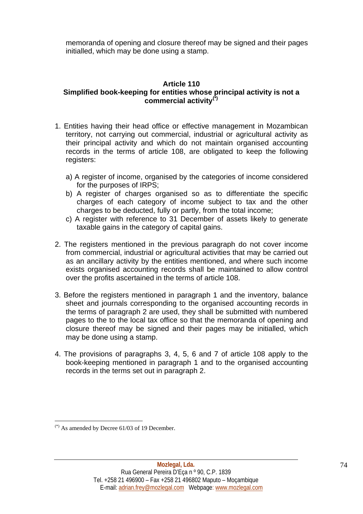<span id="page-73-1"></span>memoranda of opening and closure thereof may be signed and their pages initialled, which may be done using a stamp.

#### **Article 110**

## **Simplified book-keeping for entities whose principal activity is not a commercial activity[\(\\*\)](#page-73-0)**

- 1. Entities having their head office or effective management in Mozambican territory, not carrying out commercial, industrial or agricultural activity as their principal activity and which do not maintain organised accounting records in the terms of article 108, are obligated to keep the following registers:
	- a) A register of income, organised by the categories of income considered for the purposes of IRPS;
	- b) A register of charges organised so as to differentiate the specific charges of each category of income subject to tax and the other charges to be deducted, fully or partly, from the total income;
	- c) A register with reference to 31 December of assets likely to generate taxable gains in the category of capital gains.
- 2. The registers mentioned in the previous paragraph do not cover income from commercial, industrial or agricultural activities that may be carried out as an ancillary activity by the entities mentioned, and where such income exists organised accounting records shall be maintained to allow control over the profits ascertained in the terms of article 108.
- 3. Before the registers mentioned in paragraph 1 and the inventory, balance sheet and journals corresponding to the organised accounting records in the terms of paragraph 2 are used, they shall be submitted with numbered pages to the to the local tax office so that the memoranda of opening and closure thereof may be signed and their pages may be initialled, which may be done using a stamp.
- 4. The provisions of paragraphs 3, 4, 5, 6 and 7 of article 108 apply to the book-keeping mentioned in paragraph 1 and to the organised accounting records in the terms set out in paragraph 2.

<span id="page-73-0"></span><sup>1</sup>  $(*)$  As amended by Decree 61/03 of 19 December.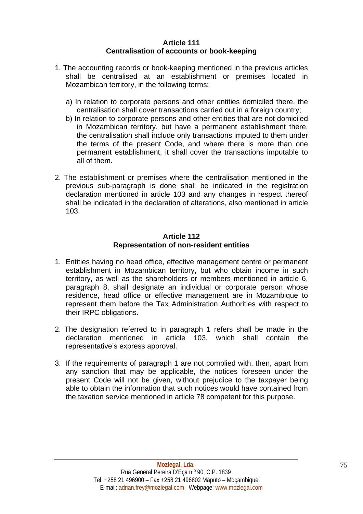#### **Article 111 Centralisation of accounts or book-keeping**

- <span id="page-74-0"></span>1. The accounting records or book-keeping mentioned in the previous articles shall be centralised at an establishment or premises located in Mozambican territory, in the following terms:
	- a) In relation to corporate persons and other entities domiciled there, the centralisation shall cover transactions carried out in a foreign country;
	- b) In relation to corporate persons and other entities that are not domiciled in Mozambican territory, but have a permanent establishment there, the centralisation shall include only transactions imputed to them under the terms of the present Code, and where there is more than one permanent establishment, it shall cover the transactions imputable to all of them.
- 2. The establishment or premises where the centralisation mentioned in the previous sub-paragraph is done shall be indicated in the registration declaration mentioned in article 103 and any changes in respect thereof shall be indicated in the declaration of alterations, also mentioned in article 103.

#### **Article 112 Representation of non-resident entities**

- 1. Entities having no head office, effective management centre or permanent establishment in Mozambican territory, but who obtain income in such territory, as well as the shareholders or members mentioned in article 6, paragraph 8, shall designate an individual or corporate person whose residence, head office or effective management are in Mozambique to represent them before the Tax Administration Authorities with respect to their IRPC obligations.
- 2. The designation referred to in paragraph 1 refers shall be made in the declaration mentioned in article 103, which shall contain the representative's express approval.
- 3. If the requirements of paragraph 1 are not complied with, then, apart from any sanction that may be applicable, the notices foreseen under the present Code will not be given, without prejudice to the taxpayer being able to obtain the information that such notices would have contained from the taxation service mentioned in article 78 competent for this purpose.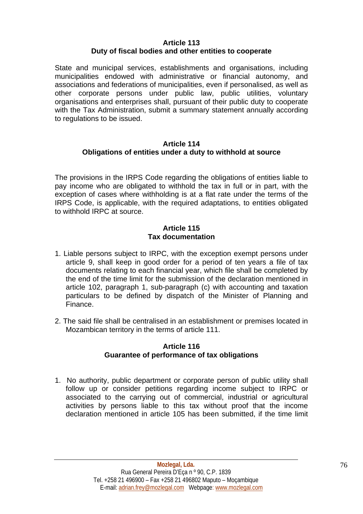#### **Article 113 Duty of fiscal bodies and other entities to cooperate**

<span id="page-75-0"></span>State and municipal services, establishments and organisations, including municipalities endowed with administrative or financial autonomy, and associations and federations of municipalities, even if personalised, as well as other corporate persons under public law, public utilities, voluntary organisations and enterprises shall, pursuant of their public duty to cooperate with the Tax Administration, submit a summary statement annually according to regulations to be issued.

#### **Article 114 Obligations of entities under a duty to withhold at source**

The provisions in the IRPS Code regarding the obligations of entities liable to pay income who are obligated to withhold the tax in full or in part, with the exception of cases where withholding is at a flat rate under the terms of the IRPS Code, is applicable, with the required adaptations, to entities obligated to withhold IRPC at source.

#### **Article 115 Tax documentation**

- 1. Liable persons subject to IRPC, with the exception exempt persons under article 9, shall keep in good order for a period of ten years a file of tax documents relating to each financial year, which file shall be completed by the end of the time limit for the submission of the declaration mentioned in article 102, paragraph 1, sub-paragraph (c) with accounting and taxation particulars to be defined by dispatch of the Minister of Planning and Finance.
- 2. The said file shall be centralised in an establishment or premises located in Mozambican territory in the terms of article 111.

#### **Article 116 Guarantee of performance of tax obligations**

1. No authority, public department or corporate person of public utility shall follow up or consider petitions regarding income subject to IRPC or associated to the carrying out of commercial, industrial or agricultural activities by persons liable to this tax without proof that the income declaration mentioned in article 105 has been submitted, if the time limit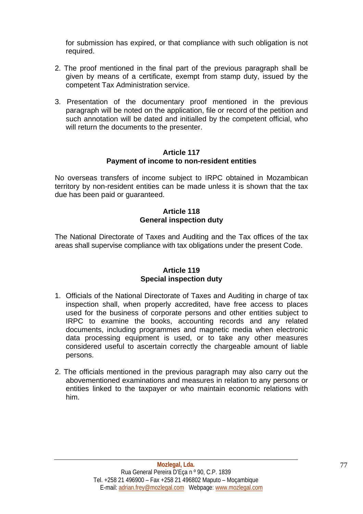<span id="page-76-0"></span>for submission has expired, or that compliance with such obligation is not required.

- 2. The proof mentioned in the final part of the previous paragraph shall be given by means of a certificate, exempt from stamp duty, issued by the competent Tax Administration service.
- 3. Presentation of the documentary proof mentioned in the previous paragraph will be noted on the application, file or record of the petition and such annotation will be dated and initialled by the competent official, who will return the documents to the presenter.

#### **Article 117 Payment of income to non-resident entities**

No overseas transfers of income subject to IRPC obtained in Mozambican territory by non-resident entities can be made unless it is shown that the tax due has been paid or guaranteed.

#### **Article 118 General inspection duty**

The National Directorate of Taxes and Auditing and the Tax offices of the tax areas shall supervise compliance with tax obligations under the present Code.

#### **Article 119 Special inspection duty**

- 1. Officials of the National Directorate of Taxes and Auditing in charge of tax inspection shall, when properly accredited, have free access to places used for the business of corporate persons and other entities subject to IRPC to examine the books, accounting records and any related documents, including programmes and magnetic media when electronic data processing equipment is used, or to take any other measures considered useful to ascertain correctly the chargeable amount of liable persons.
- 2. The officials mentioned in the previous paragraph may also carry out the abovementioned examinations and measures in relation to any persons or entities linked to the taxpayer or who maintain economic relations with him.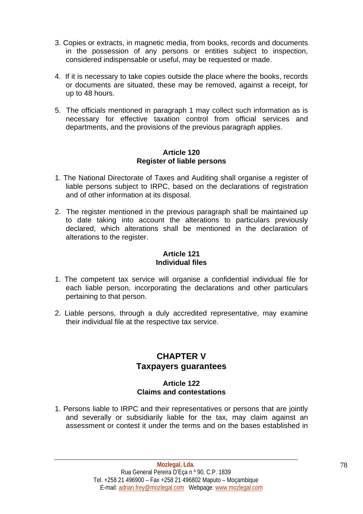- <span id="page-77-0"></span>3. Copies or extracts, in magnetic media, from books, records and documents in the possession of any persons or entities subject to inspection, considered indispensable or useful, may be requested or made.
- 4. If it is necessary to take copies outside the place where the books, records or documents are situated, these may be removed, against a receipt, for up to 48 hours.
- 5. The officials mentioned in paragraph 1 may collect such information as is necessary for effective taxation control from official services and departments, and the provisions of the previous paragraph applies.

#### **Article 120 Register of liable persons**

- 1. The National Directorate of Taxes and Auditing shall organise a register of liable persons subject to IRPC, based on the declarations of registration and of other information at its disposal.
- 2. The register mentioned in the previous paragraph shall be maintained up to date taking into account the alterations to particulars previously declared, which alterations shall be mentioned in the declaration of alterations to the register.

#### **Article 121 Individual files**

- 1. The competent tax service will organise a confidential individual file for each liable person, incorporating the declarations and other particulars pertaining to that person.
- 2. Liable persons, through a duly accredited representative, may examine their individual file at the respective tax service.

## **CHAPTER V Taxpayers guarantees**

### **Article 122 Claims and contestations**

1. Persons liable to IRPC and their representatives or persons that are jointly and severally or subsidiarily liable for the tax, may claim against an assessment or contest it under the terms and on the bases established in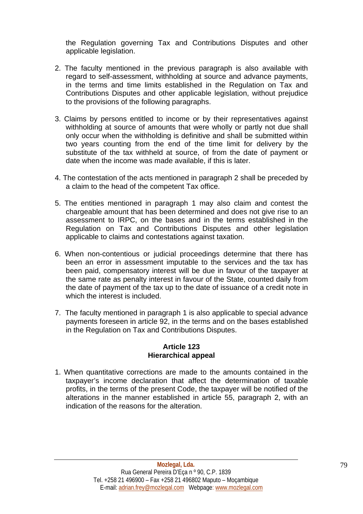<span id="page-78-0"></span>the Regulation governing Tax and Contributions Disputes and other applicable legislation.

- 2. The faculty mentioned in the previous paragraph is also available with regard to self-assessment, withholding at source and advance payments, in the terms and time limits established in the Regulation on Tax and Contributions Disputes and other applicable legislation, without prejudice to the provisions of the following paragraphs.
- 3. Claims by persons entitled to income or by their representatives against withholding at source of amounts that were wholly or partly not due shall only occur when the withholding is definitive and shall be submitted within two years counting from the end of the time limit for delivery by the substitute of the tax withheld at source, of from the date of payment or date when the income was made available, if this is later.
- 4. The contestation of the acts mentioned in paragraph 2 shall be preceded by a claim to the head of the competent Tax office.
- 5. The entities mentioned in paragraph 1 may also claim and contest the chargeable amount that has been determined and does not give rise to an assessment to IRPC, on the bases and in the terms established in the Regulation on Tax and Contributions Disputes and other legislation applicable to claims and contestations against taxation.
- 6. When non-contentious or judicial proceedings determine that there has been an error in assessment imputable to the services and the tax has been paid, compensatory interest will be due in favour of the taxpayer at the same rate as penalty interest in favour of the State, counted daily from the date of payment of the tax up to the date of issuance of a credit note in which the interest is included.
- 7. The faculty mentioned in paragraph 1 is also applicable to special advance payments foreseen in article 92, in the terms and on the bases established in the Regulation on Tax and Contributions Disputes.

#### **Article 123 Hierarchical appeal**

1. When quantitative corrections are made to the amounts contained in the taxpayer's income declaration that affect the determination of taxable profits, in the terms of the present Code, the taxpayer will be notified of the alterations in the manner established in article 55, paragraph 2, with an indication of the reasons for the alteration.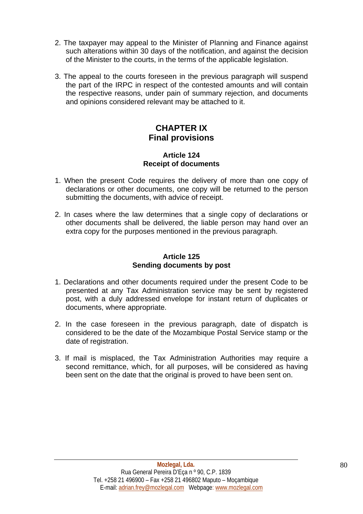- <span id="page-79-0"></span>2. The taxpayer may appeal to the Minister of Planning and Finance against such alterations within 30 days of the notification, and against the decision of the Minister to the courts, in the terms of the applicable legislation.
- 3. The appeal to the courts foreseen in the previous paragraph will suspend the part of the IRPC in respect of the contested amounts and will contain the respective reasons, under pain of summary rejection, and documents and opinions considered relevant may be attached to it.

## **CHAPTER IX Final provisions**

#### **Article 124 Receipt of documents**

- 1. When the present Code requires the delivery of more than one copy of declarations or other documents, one copy will be returned to the person submitting the documents, with advice of receipt.
- 2. In cases where the law determines that a single copy of declarations or other documents shall be delivered, the liable person may hand over an extra copy for the purposes mentioned in the previous paragraph.

## **Article 125 Sending documents by post**

- 1. Declarations and other documents required under the present Code to be presented at any Tax Administration service may be sent by registered post, with a duly addressed envelope for instant return of duplicates or documents, where appropriate.
- 2. In the case foreseen in the previous paragraph, date of dispatch is considered to be the date of the Mozambique Postal Service stamp or the date of registration.
- 3. If mail is misplaced, the Tax Administration Authorities may require a second remittance, which, for all purposes, will be considered as having been sent on the date that the original is proved to have been sent on.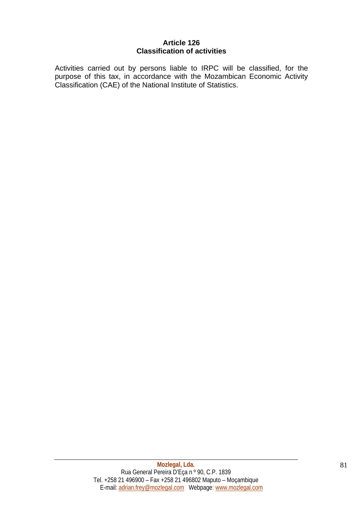#### **Article 126 Classification of activities**

<span id="page-80-0"></span>Activities carried out by persons liable to IRPC will be classified, for the purpose of this tax, in accordance with the Mozambican Economic Activity Classification (CAE) of the National Institute of Statistics.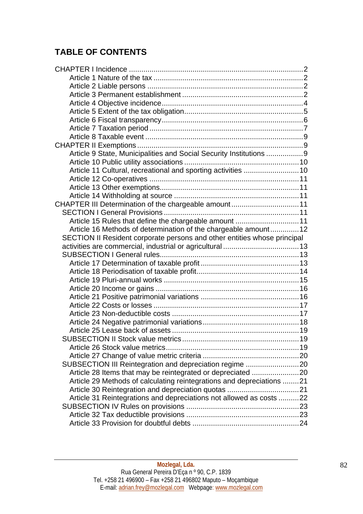# **TABLE OF CONTENTS**

| Article 9 State, Municipalities and Social Security Institutions 9       |  |
|--------------------------------------------------------------------------|--|
|                                                                          |  |
| Article 11 Cultural, recreational and sporting activities 10             |  |
|                                                                          |  |
|                                                                          |  |
|                                                                          |  |
| CHAPTER III Determination of the chargeable amount11                     |  |
|                                                                          |  |
| Article 15 Rules that define the chargeable amount 11                    |  |
| Article 16 Methods of determination of the chargeable amount 12          |  |
| SECTION II Resident corporate persons and other entities whose principal |  |
|                                                                          |  |
|                                                                          |  |
|                                                                          |  |
|                                                                          |  |
|                                                                          |  |
|                                                                          |  |
|                                                                          |  |
|                                                                          |  |
|                                                                          |  |
|                                                                          |  |
|                                                                          |  |
|                                                                          |  |
|                                                                          |  |
|                                                                          |  |
| SUBSECTION III Reintegration and depreciation regime 20                  |  |
| Article 28 Items that may be reintegrated or depreciated 20              |  |
| Article 29 Methods of calculating reintegrations and depreciations 21    |  |
|                                                                          |  |
| Article 31 Reintegrations and depreciations not allowed as costs 22      |  |
|                                                                          |  |
|                                                                          |  |
|                                                                          |  |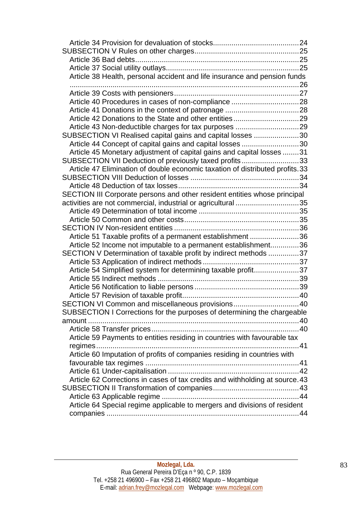| Article 38 Health, personal accident and life insurance and pension funds    |  |
|------------------------------------------------------------------------------|--|
|                                                                              |  |
|                                                                              |  |
|                                                                              |  |
|                                                                              |  |
|                                                                              |  |
| SUBSECTION VI Realised capital gains and capital losses 30                   |  |
| Article 44 Concept of capital gains and capital losses 30                    |  |
| Article 45 Monetary adjustment of capital gains and capital losses 31        |  |
| SUBSECTION VII Deduction of previously taxed profits33                       |  |
| Article 47 Elimination of double economic taxation of distributed profits.33 |  |
|                                                                              |  |
|                                                                              |  |
| SECTION III Corporate persons and other resident entities whose principal    |  |
| activities are not commercial, industrial or agricultural 35                 |  |
|                                                                              |  |
|                                                                              |  |
|                                                                              |  |
| Article 51 Taxable profits of a permanent establishment 36                   |  |
| Article 52 Income not imputable to a permanent establishment36               |  |
| SECTION V Determination of taxable profit by indirect methods 37             |  |
|                                                                              |  |
| Article 54 Simplified system for determining taxable profit37                |  |
|                                                                              |  |
|                                                                              |  |
|                                                                              |  |
| SECTION VI Common and miscellaneous provisions40                             |  |
| SUBSECTION I Corrections for the purposes of determining the chargeable      |  |
| amount                                                                       |  |
|                                                                              |  |
| Article 59 Payments to entities residing in countries with favourable tax    |  |
| . 41                                                                         |  |
| Article 60 Imputation of profits of companies residing in countries with     |  |
|                                                                              |  |
|                                                                              |  |
| Article 62 Corrections in cases of tax credits and withholding at source. 43 |  |
|                                                                              |  |
|                                                                              |  |
| Article 64 Special regime applicable to mergers and divisions of resident    |  |
|                                                                              |  |
|                                                                              |  |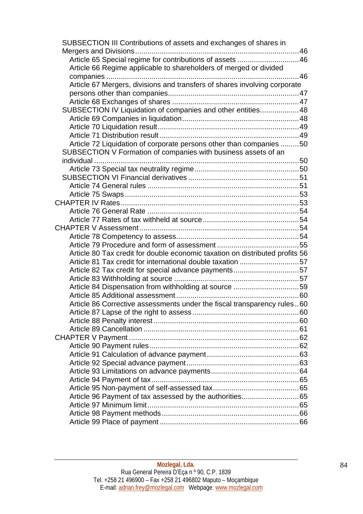| SUBSECTION III Contributions of assets and exchanges of shares in            |  |
|------------------------------------------------------------------------------|--|
|                                                                              |  |
| Article 65 Special regime for contributions of assets  46                    |  |
| Article 66 Regime applicable to shareholders of merged or divided            |  |
|                                                                              |  |
| Article 67 Mergers, divisions and transfers of shares involving corporate    |  |
|                                                                              |  |
|                                                                              |  |
| SUBSECTION IV Liquidation of companies and other entities 48                 |  |
|                                                                              |  |
|                                                                              |  |
|                                                                              |  |
| Article 72 Liquidation of corporate persons other than companies 50          |  |
| SUBSECTION V Formation of companies with business assets of an               |  |
|                                                                              |  |
|                                                                              |  |
|                                                                              |  |
|                                                                              |  |
|                                                                              |  |
|                                                                              |  |
|                                                                              |  |
|                                                                              |  |
|                                                                              |  |
|                                                                              |  |
|                                                                              |  |
| Article 80 Tax credit for double economic taxation on distributed profits 56 |  |
| Article 81 Tax credit for international double taxation 57                   |  |
| Article 82 Tax credit for special advance payments57                         |  |
|                                                                              |  |
| Article 84 Dispensation from withholding at source 59                        |  |
|                                                                              |  |
| Article 86 Corrective assessments under the fiscal transparency rules60      |  |
|                                                                              |  |
|                                                                              |  |
|                                                                              |  |
|                                                                              |  |
|                                                                              |  |
|                                                                              |  |
|                                                                              |  |
|                                                                              |  |
|                                                                              |  |
|                                                                              |  |
| Article 96 Payment of tax assessed by the authorities65                      |  |
|                                                                              |  |
|                                                                              |  |
|                                                                              |  |
|                                                                              |  |